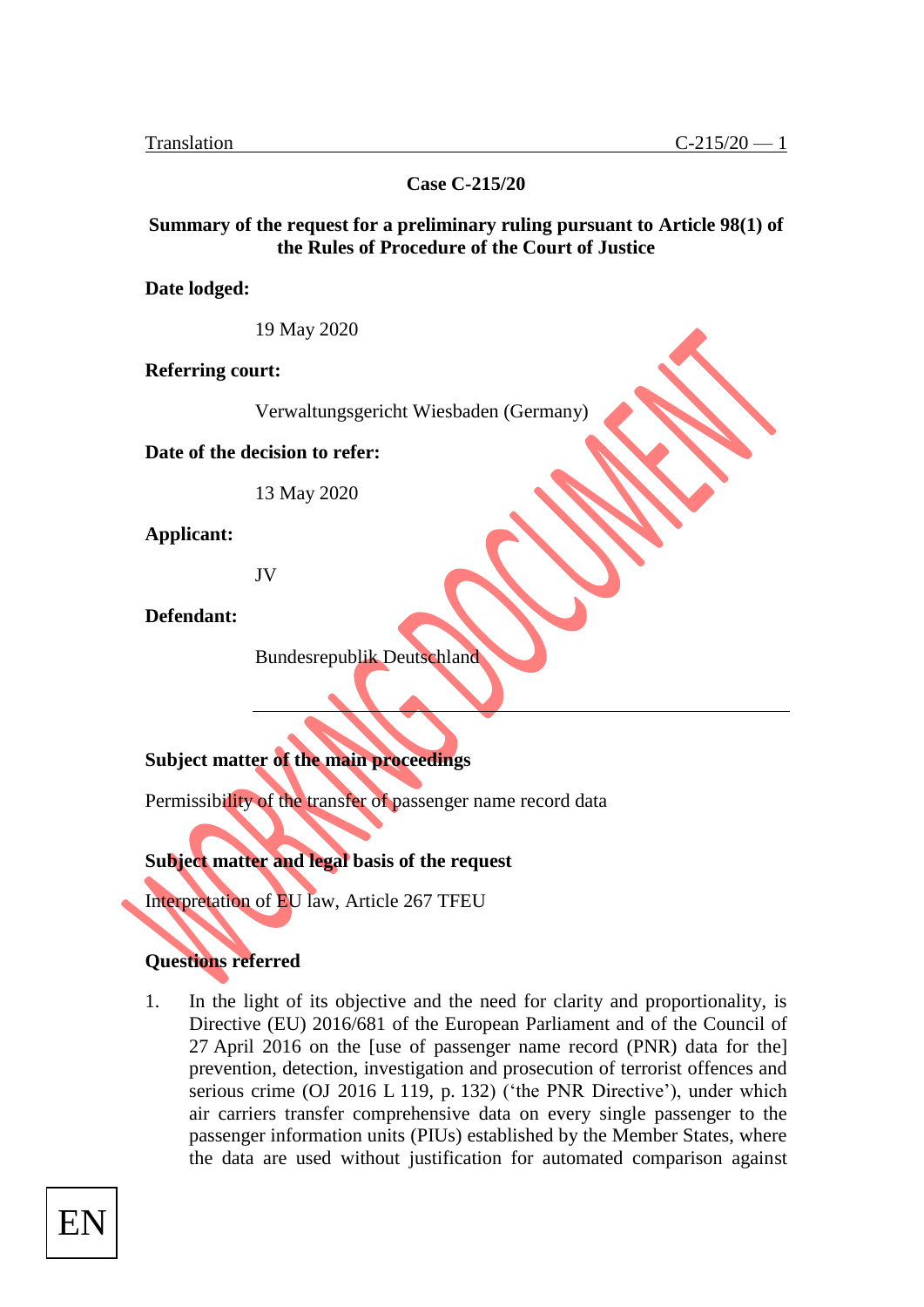**Case C-215/20**

#### **Summary of the request for a preliminary ruling pursuant to Article 98(1) of the Rules of Procedure of the Court of Justice**

**Date lodged:**

19 May 2020

**Referring court:**

Verwaltungsgericht Wiesbaden (Germany)

**Date of the decision to refer:**

13 May 2020

**Applicant:**

JV

**Defendant:**

Bundesrepublik Deutschland

### **Subject matter of the main proceedings**

Permissibility of the transfer of passenger name record data

#### **Subject matter and legal basis of the request**

Interpretation of EU law, Article 267 TFEU

#### **Questions referred**

1. In the light of its objective and the need for clarity and proportionality, is Directive (EU) 2016/681 of the European Parliament and of the Council of 27 April 2016 on the [use of passenger name record (PNR) data for the] prevention, detection, investigation and prosecution of terrorist offences and serious crime (OJ 2016 L 119, p. 132) ('the PNR Directive'), under which air carriers transfer comprehensive data on every single passenger to the passenger information units (PIUs) established by the Member States, where the data are used without justification for automated comparison against

EN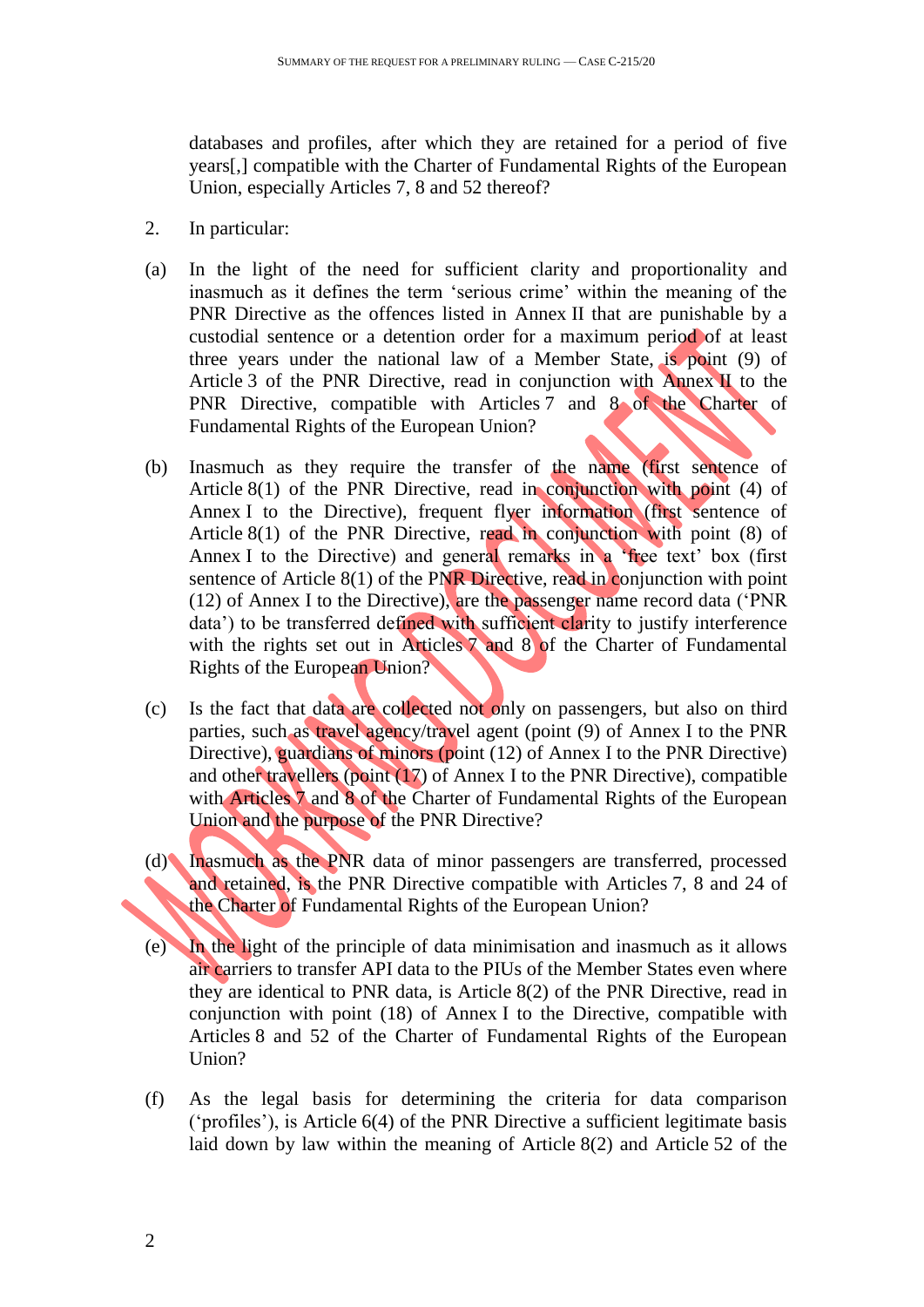databases and profiles, after which they are retained for a period of five years[,] compatible with the Charter of Fundamental Rights of the European Union, especially Articles 7, 8 and 52 thereof?

- 2. In particular:
- (a) In the light of the need for sufficient clarity and proportionality and inasmuch as it defines the term 'serious crime' within the meaning of the PNR Directive as the offences listed in Annex II that are punishable by a custodial sentence or a detention order for a maximum period of at least three years under the national law of a Member State, is point (9) of Article 3 of the PNR Directive, read in conjunction with Annex II to the PNR Directive, compatible with Articles 7 and 8 of the Charter of Fundamental Rights of the European Union?
- (b) Inasmuch as they require the transfer of the name (first sentence of Article 8(1) of the PNR Directive, read in conjunction with point (4) of Annex I to the Directive), frequent flyer information (first sentence of Article 8(1) of the PNR Directive, read in conjunction with point (8) of Annex I to the Directive) and general remarks in a 'free text' box (first sentence of Article 8(1) of the PNR Directive, read in conjunction with point (12) of Annex I to the Directive), are the passenger name record data ('PNR data') to be transferred defined with sufficient clarity to justify interference with the rights set out in Articles 7 and 8 of the Charter of Fundamental Rights of the European Union?
- (c) Is the fact that data are collected not only on passengers, but also on third parties, such as travel agency/travel agent (point (9) of Annex I to the PNR Directive), guardians of minors (point (12) of Annex I to the PNR Directive) and other travellers (point (17) of Annex I to the PNR Directive), compatible with Articles 7 and 8 of the Charter of Fundamental Rights of the European Union and the purpose of the PNR Directive?
- (d) Inasmuch as the PNR data of minor passengers are transferred, processed and retained, is the PNR Directive compatible with Articles 7, 8 and 24 of the Charter of Fundamental Rights of the European Union?
- (e) In the light of the principle of data minimisation and inasmuch as it allows air carriers to transfer API data to the PIUs of the Member States even where they are identical to PNR data, is Article 8(2) of the PNR Directive, read in conjunction with point (18) of Annex I to the Directive, compatible with Articles 8 and 52 of the Charter of Fundamental Rights of the European Union?
- (f) As the legal basis for determining the criteria for data comparison ('profiles'), is Article 6(4) of the PNR Directive a sufficient legitimate basis laid down by law within the meaning of Article 8(2) and Article 52 of the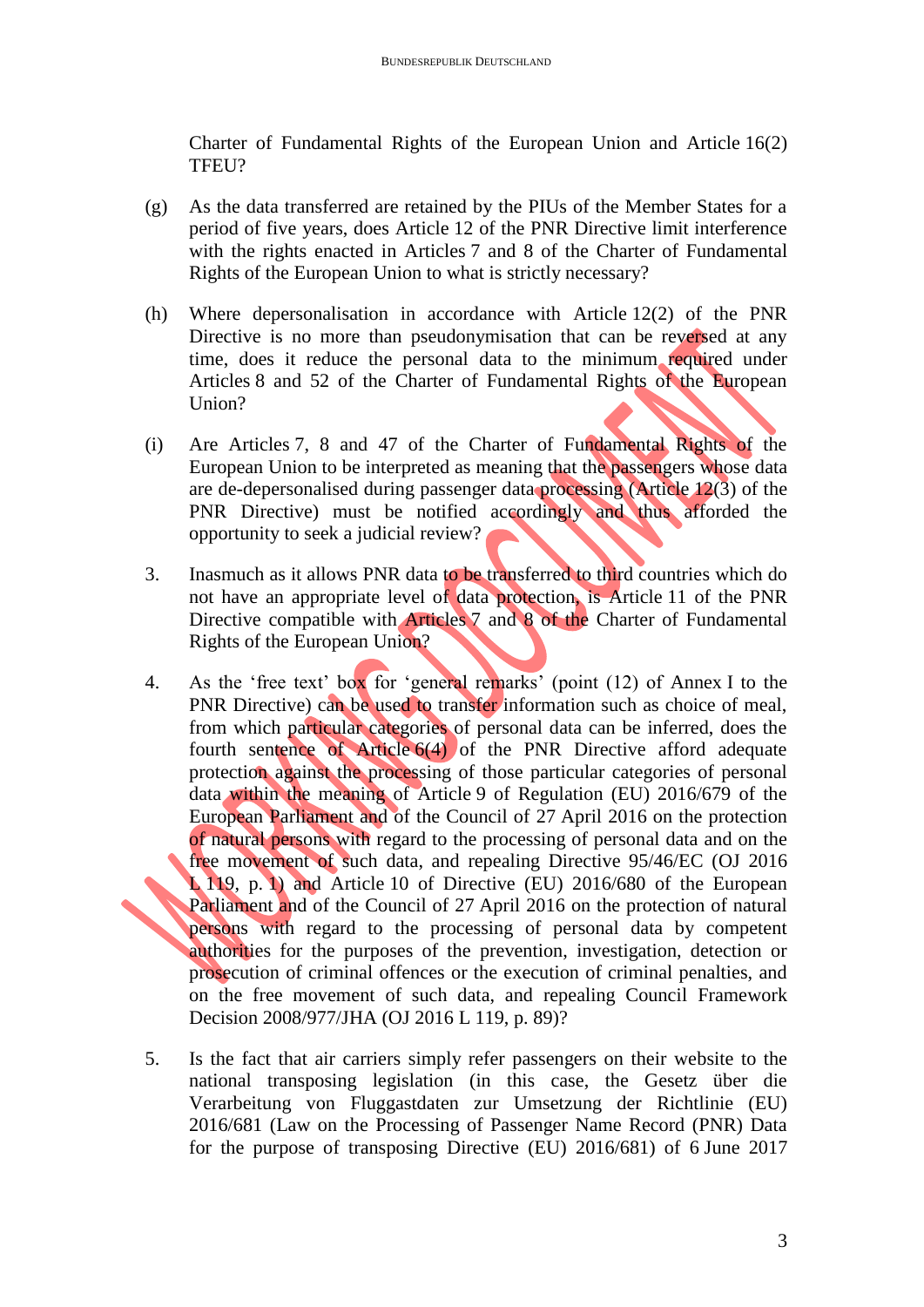Charter of Fundamental Rights of the European Union and Article 16(2) TFEU?

- (g) As the data transferred are retained by the PIUs of the Member States for a period of five years, does Article 12 of the PNR Directive limit interference with the rights enacted in Articles 7 and 8 of the Charter of Fundamental Rights of the European Union to what is strictly necessary?
- (h) Where depersonalisation in accordance with Article 12(2) of the PNR Directive is no more than pseudonymisation that can be reversed at any time, does it reduce the personal data to the minimum required under Articles 8 and 52 of the Charter of Fundamental Rights of the European Union?
- (i) Are Articles 7, 8 and 47 of the Charter of Fundamental Rights of the European Union to be interpreted as meaning that the passengers whose data are de-depersonalised during passenger data processing (Article 12(3) of the PNR Directive) must be notified accordingly and thus afforded the opportunity to seek a judicial review?
- 3. Inasmuch as it allows PNR data to be transferred to third countries which do not have an appropriate level of data protection, is Article 11 of the PNR Directive compatible with Articles 7 and 8 of the Charter of Fundamental Rights of the European Union?
- 4. As the 'free text' box for 'general remarks' (point (12) of Annex I to the PNR Directive) can be used to transfer information such as choice of meal, from which particular categories of personal data can be inferred, does the fourth sentence of Article 6(4) of the PNR Directive afford adequate protection against the processing of those particular categories of personal data within the meaning of Article 9 of Regulation (EU) 2016/679 of the European Parliament and of the Council of 27 April 2016 on the protection of natural persons with regard to the processing of personal data and on the free movement of such data, and repealing Directive 95/46/EC (OJ 2016 L 119, p. 1) and Article 10 of Directive (EU) 2016/680 of the European Parliament and of the Council of 27 April 2016 on the protection of natural persons with regard to the processing of personal data by competent authorities for the purposes of the prevention, investigation, detection or prosecution of criminal offences or the execution of criminal penalties, and on the free movement of such data, and repealing Council Framework Decision 2008/977/JHA (OJ 2016 L 119, p. 89)?
- 5. Is the fact that air carriers simply refer passengers on their website to the national transposing legislation (in this case, the Gesetz über die Verarbeitung von Fluggastdaten zur Umsetzung der Richtlinie (EU) 2016/681 (Law on the Processing of Passenger Name Record (PNR) Data for the purpose of transposing Directive (EU) 2016/681) of 6 June 2017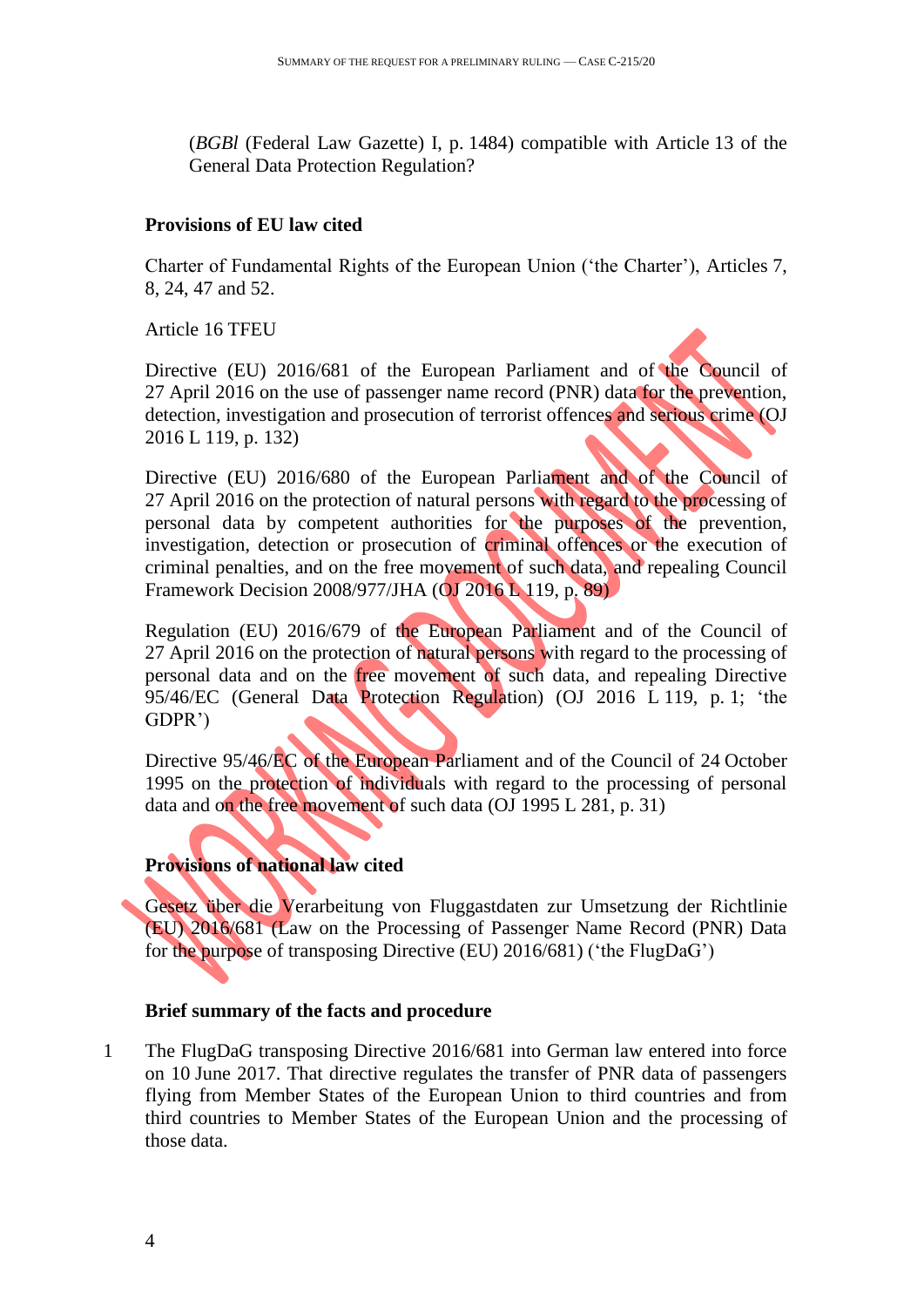(*BGBl* (Federal Law Gazette) I, p. 1484) compatible with Article 13 of the General Data Protection Regulation?

#### **Provisions of EU law cited**

Charter of Fundamental Rights of the European Union ('the Charter'), Articles 7, 8, 24, 47 and 52.

Article 16 TFEU

Directive (EU) 2016/681 of the European Parliament and of the Council of 27 April 2016 on the use of passenger name record (PNR) data for the prevention, detection, investigation and prosecution of terrorist offences and serious crime (OJ 2016 L 119, p. 132)

Directive (EU) 2016/680 of the European Parliament and of the Council of 27 April 2016 on the protection of natural persons with regard to the processing of personal data by competent authorities for the purposes of the prevention, investigation, detection or prosecution of criminal offences or the execution of criminal penalties, and on the free movement of such data, and repealing Council Framework Decision 2008/977/JHA (OJ 2016 L 119, p. 89)

Regulation (EU) 2016/679 of the European Parliament and of the Council of 27 April 2016 on the protection of natural persons with regard to the processing of personal data and on the free movement of such data, and repealing Directive 95/46/EC (General Data Protection Regulation) (OJ 2016 L 119, p. 1; 'the GDPR')

Directive 95/46/EC of the European Parliament and of the Council of 24 October 1995 on the protection of individuals with regard to the processing of personal data and on the free movement of such data (OJ 1995 L 281, p. 31)

## **Provisions of national law cited**

Gesetz über die Verarbeitung von Fluggastdaten zur Umsetzung der Richtlinie (EU) 2016/681 (Law on the Processing of Passenger Name Record (PNR) Data for the purpose of transposing Directive (EU) 2016/681) ('the FlugDaG')

#### **Brief summary of the facts and procedure**

1 The FlugDaG transposing Directive 2016/681 into German law entered into force on 10 June 2017. That directive regulates the transfer of PNR data of passengers flying from Member States of the European Union to third countries and from third countries to Member States of the European Union and the processing of those data.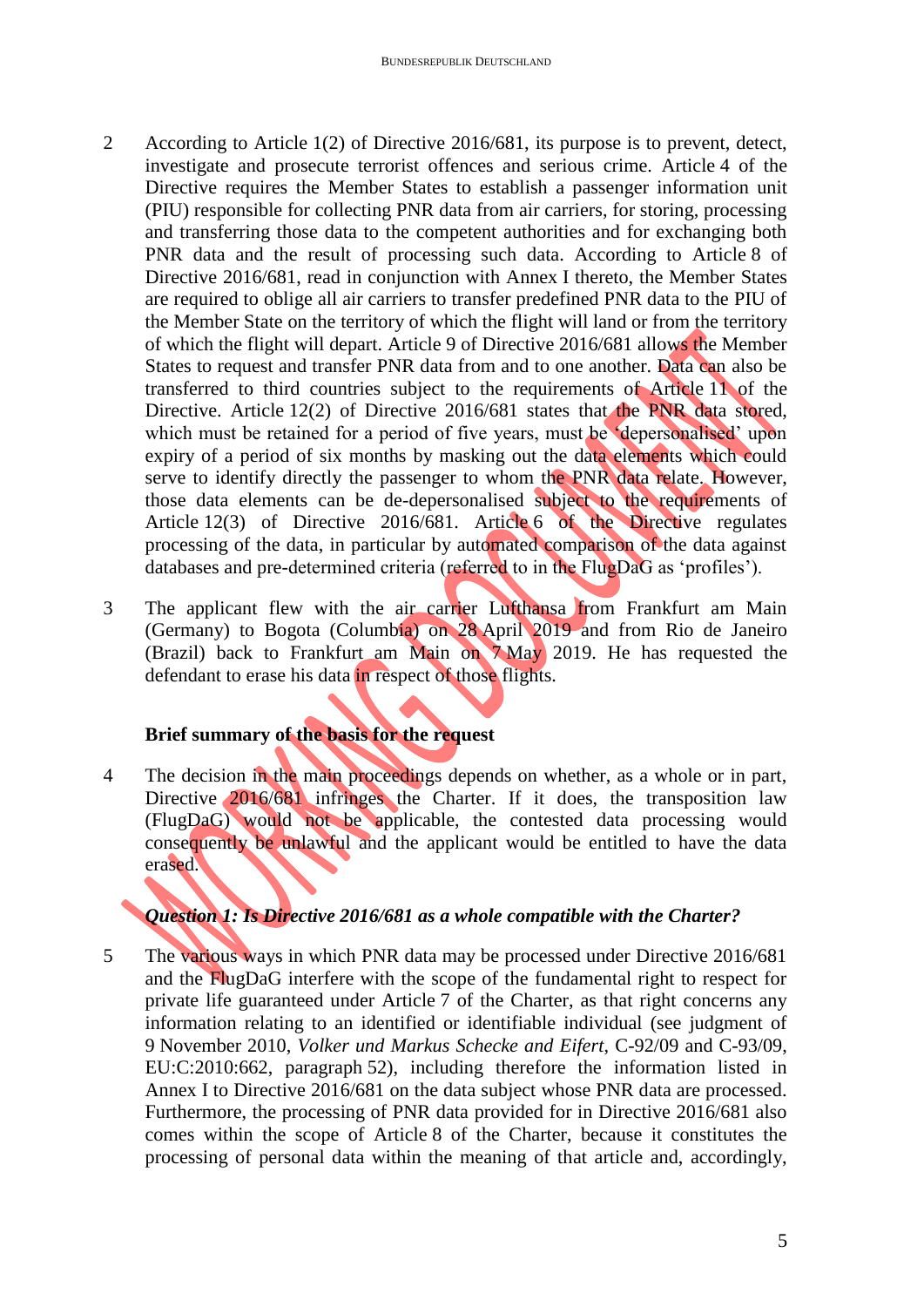- 2 According to Article 1(2) of Directive 2016/681, its purpose is to prevent, detect, investigate and prosecute terrorist offences and serious crime. Article 4 of the Directive requires the Member States to establish a passenger information unit (PIU) responsible for collecting PNR data from air carriers, for storing, processing and transferring those data to the competent authorities and for exchanging both PNR data and the result of processing such data. According to Article 8 of Directive 2016/681, read in conjunction with Annex I thereto, the Member States are required to oblige all air carriers to transfer predefined PNR data to the PIU of the Member State on the territory of which the flight will land or from the territory of which the flight will depart. Article 9 of Directive 2016/681 allows the Member States to request and transfer PNR data from and to one another. Data can also be transferred to third countries subject to the requirements of Article 11 of the Directive. Article 12(2) of Directive 2016/681 states that the PNR data stored, which must be retained for a period of five years, must be 'depersonalised' upon expiry of a period of six months by masking out the data elements which could serve to identify directly the passenger to whom the PNR data relate. However, those data elements can be de-depersonalised subject to the requirements of Article 12(3) of Directive 2016/681. Article 6 of the Directive regulates processing of the data, in particular by automated comparison of the data against databases and pre-determined criteria (referred to in the FlugDaG as 'profiles').
- 3 The applicant flew with the air carrier Lufthansa from Frankfurt am Main (Germany) to Bogota (Columbia) on 28 April 2019 and from Rio de Janeiro (Brazil) back to Frankfurt am Main on 7 May 2019. He has requested the defendant to erase his data in respect of those flights.

# **Brief summary of the basis for the request**

4 The decision in the main proceedings depends on whether, as a whole or in part, Directive 2016/681 infringes the Charter. If it does, the transposition law (FlugDaG) would not be applicable, the contested data processing would consequently be unlawful and the applicant would be entitled to have the data erased.

# *Question 1: Is Directive 2016/681 as a whole compatible with the Charter?*

5 The various ways in which PNR data may be processed under Directive 2016/681 and the FlugDaG interfere with the scope of the fundamental right to respect for private life guaranteed under Article 7 of the Charter, as that right concerns any information relating to an identified or identifiable individual (see judgment of 9 November 2010, *Volker und Markus Schecke and Eifert*, C-92/09 and C-93/09, EU:C:2010:662, paragraph 52), including therefore the information listed in Annex I to Directive 2016/681 on the data subject whose PNR data are processed. Furthermore, the processing of PNR data provided for in Directive 2016/681 also comes within the scope of Article 8 of the Charter, because it constitutes the processing of personal data within the meaning of that article and, accordingly,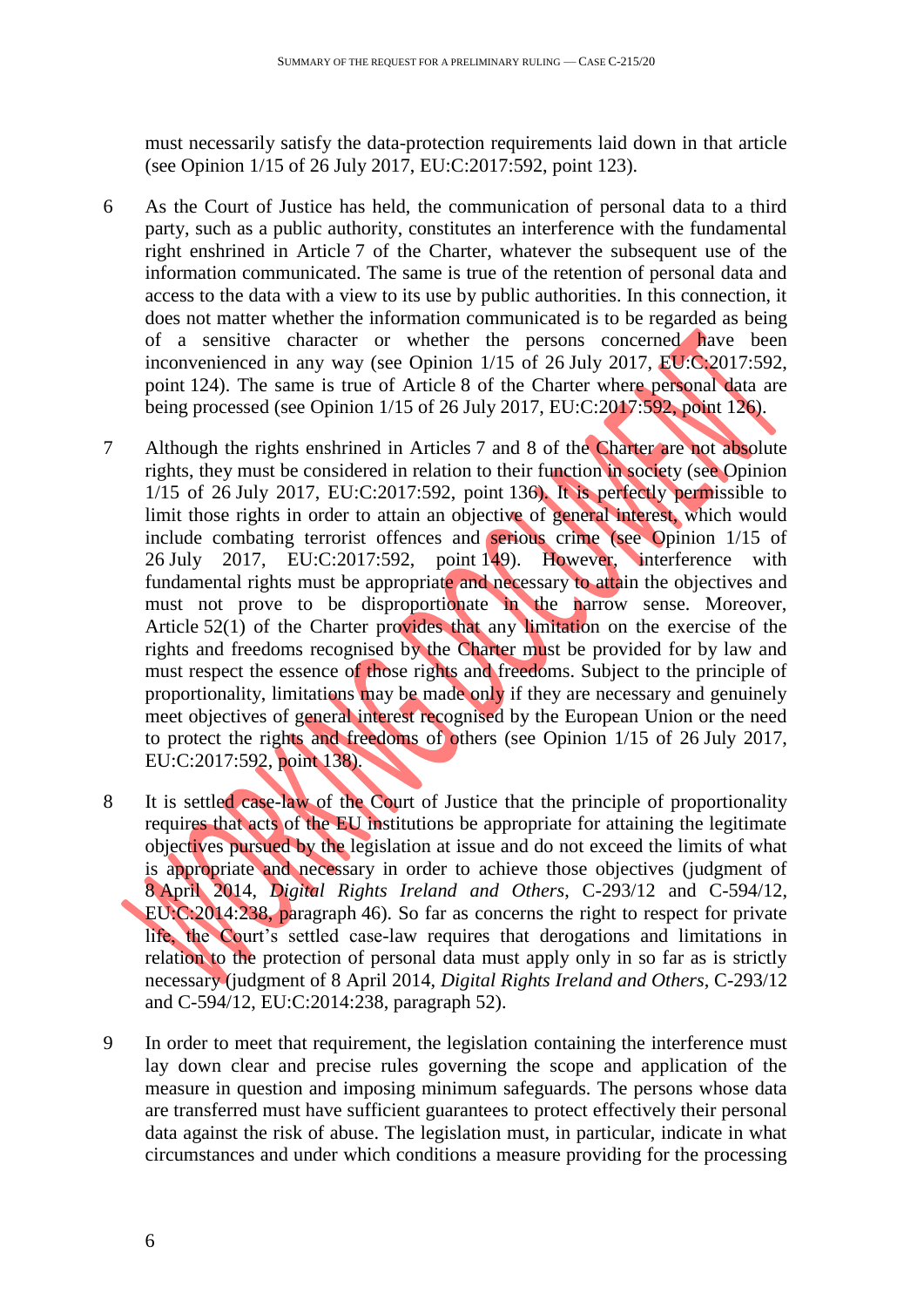must necessarily satisfy the data-protection requirements laid down in that article (see Opinion 1/15 of 26 July 2017, EU:C:2017:592, point 123).

- 6 As the Court of Justice has held, the communication of personal data to a third party, such as a public authority, constitutes an interference with the fundamental right enshrined in Article 7 of the Charter, whatever the subsequent use of the information communicated. The same is true of the retention of personal data and access to the data with a view to its use by public authorities. In this connection, it does not matter whether the information communicated is to be regarded as being of a sensitive character or whether the persons concerned have been inconvenienced in any way (see Opinion 1/15 of 26 July 2017, EU:C:2017:592, point 124). The same is true of Article 8 of the Charter where personal data are being processed (see Opinion 1/15 of 26 July 2017, EU:C:2017:592, point 126).
- 7 Although the rights enshrined in Articles 7 and 8 of the Charter are not absolute rights, they must be considered in relation to their function in society (see Opinion 1/15 of 26 July 2017, EU:C:2017:592, point 136). It is perfectly permissible to limit those rights in order to attain an objective of general interest, which would include combating terrorist offences and serious crime (see Opinion 1/15 of 26 July 2017, EU:C:2017:592, point 149). However, interference with fundamental rights must be appropriate and necessary to attain the objectives and must not prove to be disproportionate in the narrow sense. Moreover, Article 52(1) of the Charter provides that any limitation on the exercise of the rights and freedoms recognised by the Charter must be provided for by law and must respect the essence of those rights and freedoms. Subject to the principle of proportionality, limitations may be made only if they are necessary and genuinely meet objectives of general interest recognised by the European Union or the need to protect the rights and freedoms of others (see Opinion 1/15 of 26 July 2017, EU:C:2017:592, point 138).
- 8 It is settled case-law of the Court of Justice that the principle of proportionality requires that acts of the EU institutions be appropriate for attaining the legitimate objectives pursued by the legislation at issue and do not exceed the limits of what is appropriate and necessary in order to achieve those objectives (judgment of 8 April 2014, *Digital Rights Ireland and Others*, C-293/12 and C-594/12, EU:C:2014:238, paragraph 46). So far as concerns the right to respect for private life, the Court's settled case-law requires that derogations and limitations in relation to the protection of personal data must apply only in so far as is strictly necessary (judgment of 8 April 2014, *Digital Rights Ireland and Others*, C-293/12 and C-594/12, EU:C:2014:238, paragraph 52).
- 9 In order to meet that requirement, the legislation containing the interference must lay down clear and precise rules governing the scope and application of the measure in question and imposing minimum safeguards. The persons whose data are transferred must have sufficient guarantees to protect effectively their personal data against the risk of abuse. The legislation must, in particular, indicate in what circumstances and under which conditions a measure providing for the processing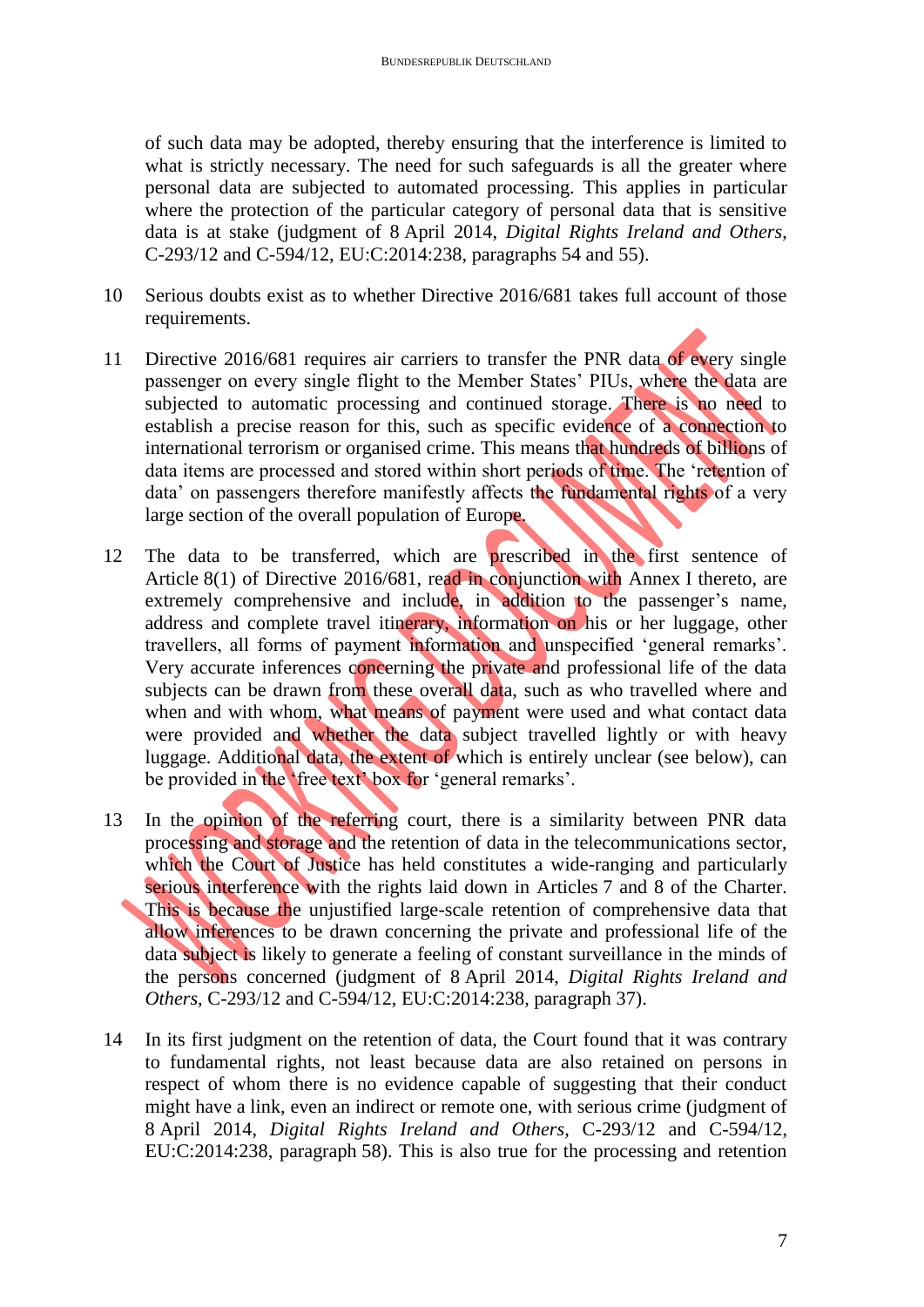of such data may be adopted, thereby ensuring that the interference is limited to what is strictly necessary. The need for such safeguards is all the greater where personal data are subjected to automated processing. This applies in particular where the protection of the particular category of personal data that is sensitive data is at stake (judgment of 8 April 2014, *Digital Rights Ireland and Others*, C-293/12 and C-594/12, EU:C:2014:238, paragraphs 54 and 55).

- 10 Serious doubts exist as to whether Directive 2016/681 takes full account of those requirements.
- 11 Directive 2016/681 requires air carriers to transfer the PNR data of every single passenger on every single flight to the Member States' PIUs, where the data are subjected to automatic processing and continued storage. There is no need to establish a precise reason for this, such as specific evidence of a connection to international terrorism or organised crime. This means that hundreds of billions of data items are processed and stored within short periods of time. The 'retention of data' on passengers therefore manifestly affects the fundamental rights of a very large section of the overall population of Europe.
- 12 The data to be transferred, which are prescribed in the first sentence of Article 8(1) of Directive 2016/681, read in conjunction with Annex I thereto, are extremely comprehensive and include, in addition to the passenger's name, address and complete travel itinerary, information on his or her luggage, other travellers, all forms of payment information and unspecified 'general remarks'. Very accurate inferences concerning the private and professional life of the data subjects can be drawn from these overall data, such as who travelled where and when and with whom, what means of payment were used and what contact data were provided and whether the data subject travelled lightly or with heavy luggage. Additional data, the extent of which is entirely unclear (see below), can be provided in the 'free text' box for 'general remarks'.
- 13 In the opinion of the referring court, there is a similarity between PNR data processing and storage and the retention of data in the telecommunications sector, which the Court of Justice has held constitutes a wide-ranging and particularly serious interference with the rights laid down in Articles 7 and 8 of the Charter. This is because the unjustified large-scale retention of comprehensive data that allow inferences to be drawn concerning the private and professional life of the data subject is likely to generate a feeling of constant surveillance in the minds of the persons concerned (judgment of 8 April 2014, *Digital Rights Ireland and Others*, C-293/12 and C-594/12, EU:C:2014:238, paragraph 37).
- 14 In its first judgment on the retention of data, the Court found that it was contrary to fundamental rights, not least because data are also retained on persons in respect of whom there is no evidence capable of suggesting that their conduct might have a link, even an indirect or remote one, with serious crime (judgment of 8 April 2014, *Digital Rights Ireland and Others*, C-293/12 and C-594/12, EU:C:2014:238, paragraph 58). This is also true for the processing and retention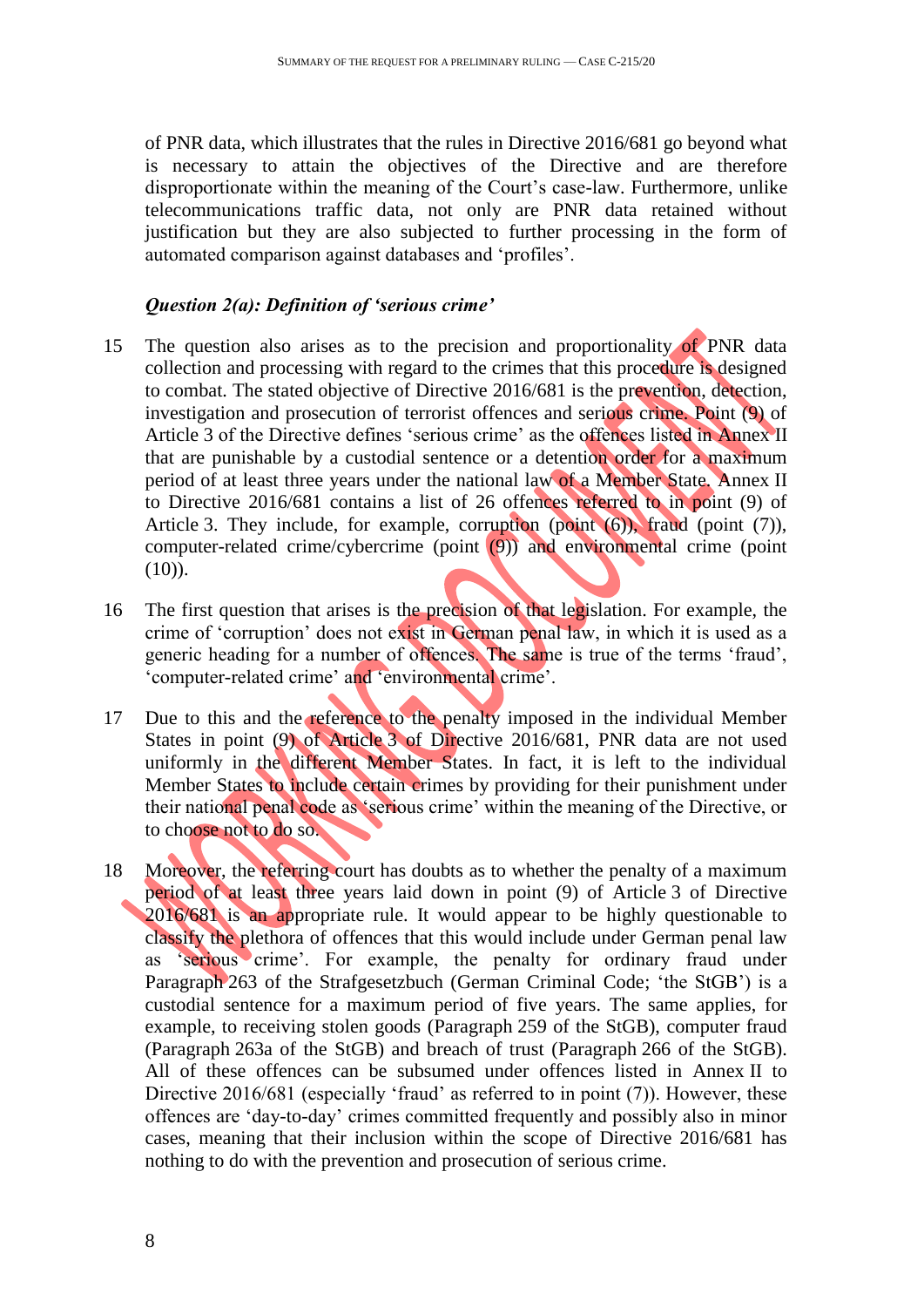of PNR data, which illustrates that the rules in Directive 2016/681 go beyond what is necessary to attain the objectives of the Directive and are therefore disproportionate within the meaning of the Court's case-law. Furthermore, unlike telecommunications traffic data, not only are PNR data retained without justification but they are also subjected to further processing in the form of automated comparison against databases and 'profiles'.

#### *Question 2(a): Definition of 'serious crime'*

- 15 The question also arises as to the precision and proportionality of PNR data collection and processing with regard to the crimes that this procedure is designed to combat. The stated objective of Directive 2016/681 is the prevention, detection, investigation and prosecution of terrorist offences and serious crime. Point (9) of Article 3 of the Directive defines 'serious crime' as the offences listed in Annex II that are punishable by a custodial sentence or a detention order for a maximum period of at least three years under the national law of a Member State. Annex II to Directive 2016/681 contains a list of 26 offences referred to in point (9) of Article 3. They include, for example, corruption (point (6)), fraud (point (7)), computer-related crime/cybercrime (point (9)) and environmental crime (point  $(10)$ ).
- 16 The first question that arises is the precision of that legislation. For example, the crime of 'corruption' does not exist in German penal law, in which it is used as a generic heading for a number of offences. The same is true of the terms 'fraud', 'computer-related crime' and 'environmental crime'.
- 17 Due to this and the reference to the penalty imposed in the individual Member States in point (9) of Article 3 of Directive 2016/681, PNR data are not used uniformly in the different Member States. In fact, it is left to the individual Member States to include certain crimes by providing for their punishment under their national penal code as 'serious crime' within the meaning of the Directive, or to choose not to do so.
- 18 Moreover, the referring court has doubts as to whether the penalty of a maximum period of at least three years laid down in point (9) of Article 3 of Directive 2016/681 is an appropriate rule. It would appear to be highly questionable to classify the plethora of offences that this would include under German penal law as 'serious crime'. For example, the penalty for ordinary fraud under Paragraph 263 of the Strafgesetzbuch (German Criminal Code; 'the StGB') is a custodial sentence for a maximum period of five years. The same applies, for example, to receiving stolen goods (Paragraph 259 of the StGB), computer fraud (Paragraph 263a of the StGB) and breach of trust (Paragraph 266 of the StGB). All of these offences can be subsumed under offences listed in Annex II to Directive 2016/681 (especially 'fraud' as referred to in point (7)). However, these offences are 'day-to-day' crimes committed frequently and possibly also in minor cases, meaning that their inclusion within the scope of Directive 2016/681 has nothing to do with the prevention and prosecution of serious crime.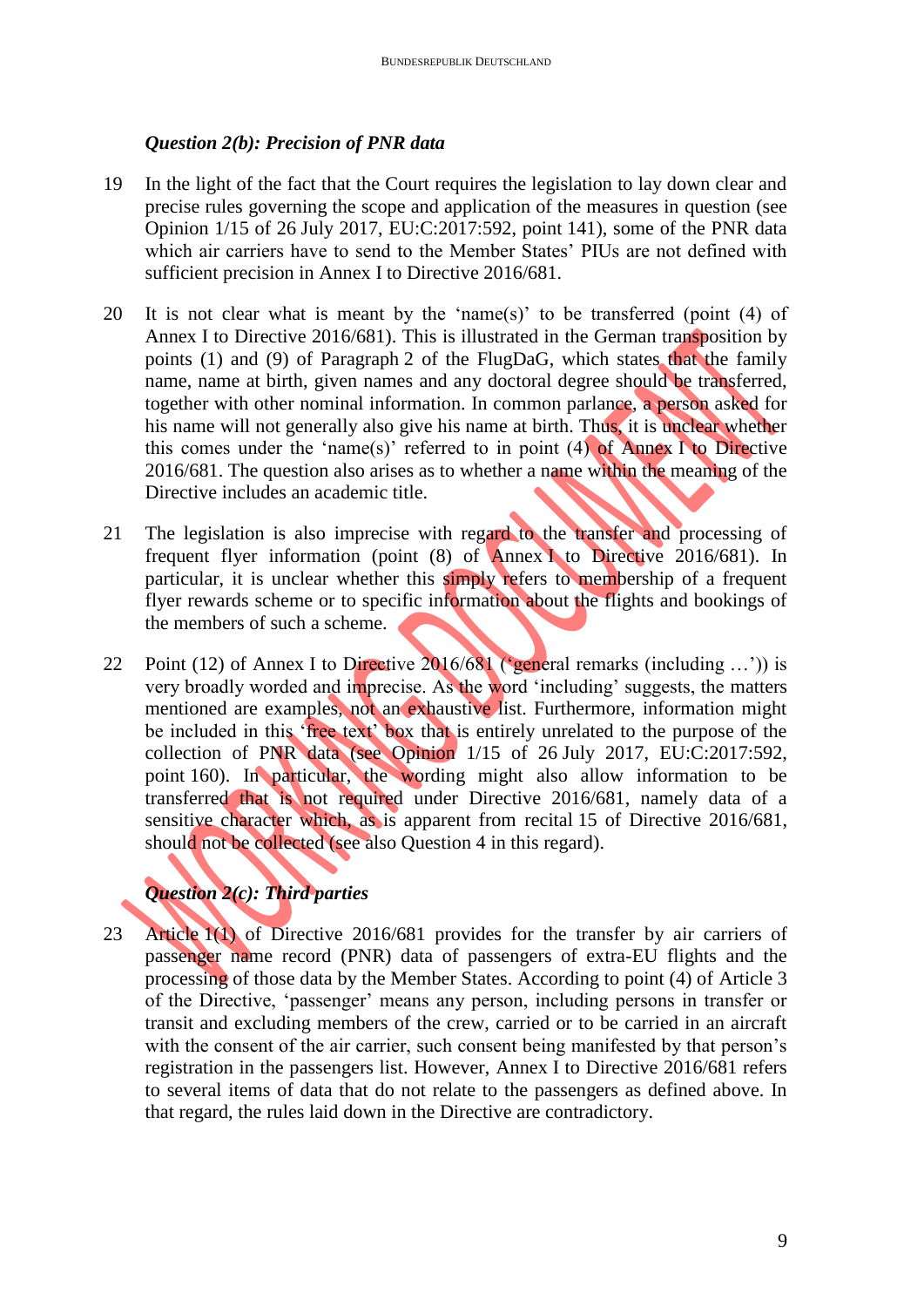### *Question 2(b): Precision of PNR data*

- 19 In the light of the fact that the Court requires the legislation to lay down clear and precise rules governing the scope and application of the measures in question (see Opinion 1/15 of 26 July 2017, EU:C:2017:592, point 141), some of the PNR data which air carriers have to send to the Member States' PIUs are not defined with sufficient precision in Annex I to Directive 2016/681.
- 20 It is not clear what is meant by the 'name(s)' to be transferred (point (4) of Annex I to Directive 2016/681). This is illustrated in the German transposition by points (1) and (9) of Paragraph 2 of the FlugDaG, which states that the family name, name at birth, given names and any doctoral degree should be transferred, together with other nominal information. In common parlance, a person asked for his name will not generally also give his name at birth. Thus, it is unclear whether this comes under the 'name(s)' referred to in point (4) of Annex I to Directive 2016/681. The question also arises as to whether a name within the meaning of the Directive includes an academic title.
- 21 The legislation is also imprecise with regard to the transfer and processing of frequent flyer information (point (8) of Annex I to Directive 2016/681). In particular, it is unclear whether this simply refers to membership of a frequent flyer rewards scheme or to specific information about the flights and bookings of the members of such a scheme.
- 22 Point (12) of Annex I to Directive 2016/681 ('general remarks (including ...')) is very broadly worded and imprecise. As the word 'including' suggests, the matters mentioned are examples, not an exhaustive list. Furthermore, information might be included in this 'free text' box that is entirely unrelated to the purpose of the collection of PNR data (see Opinion 1/15 of 26 July 2017, EU:C:2017:592, point 160). In particular, the wording might also allow information to be transferred that is not required under Directive 2016/681, namely data of a sensitive character which, as is apparent from recital 15 of Directive 2016/681, should not be collected (see also Question 4 in this regard).

# *Question 2(c): Third parties*

23 Article 1(1) of Directive 2016/681 provides for the transfer by air carriers of passenger name record (PNR) data of passengers of extra-EU flights and the processing of those data by the Member States. According to point (4) of Article 3 of the Directive, 'passenger' means any person, including persons in transfer or transit and excluding members of the crew, carried or to be carried in an aircraft with the consent of the air carrier, such consent being manifested by that person's registration in the passengers list. However, Annex I to Directive 2016/681 refers to several items of data that do not relate to the passengers as defined above. In that regard, the rules laid down in the Directive are contradictory.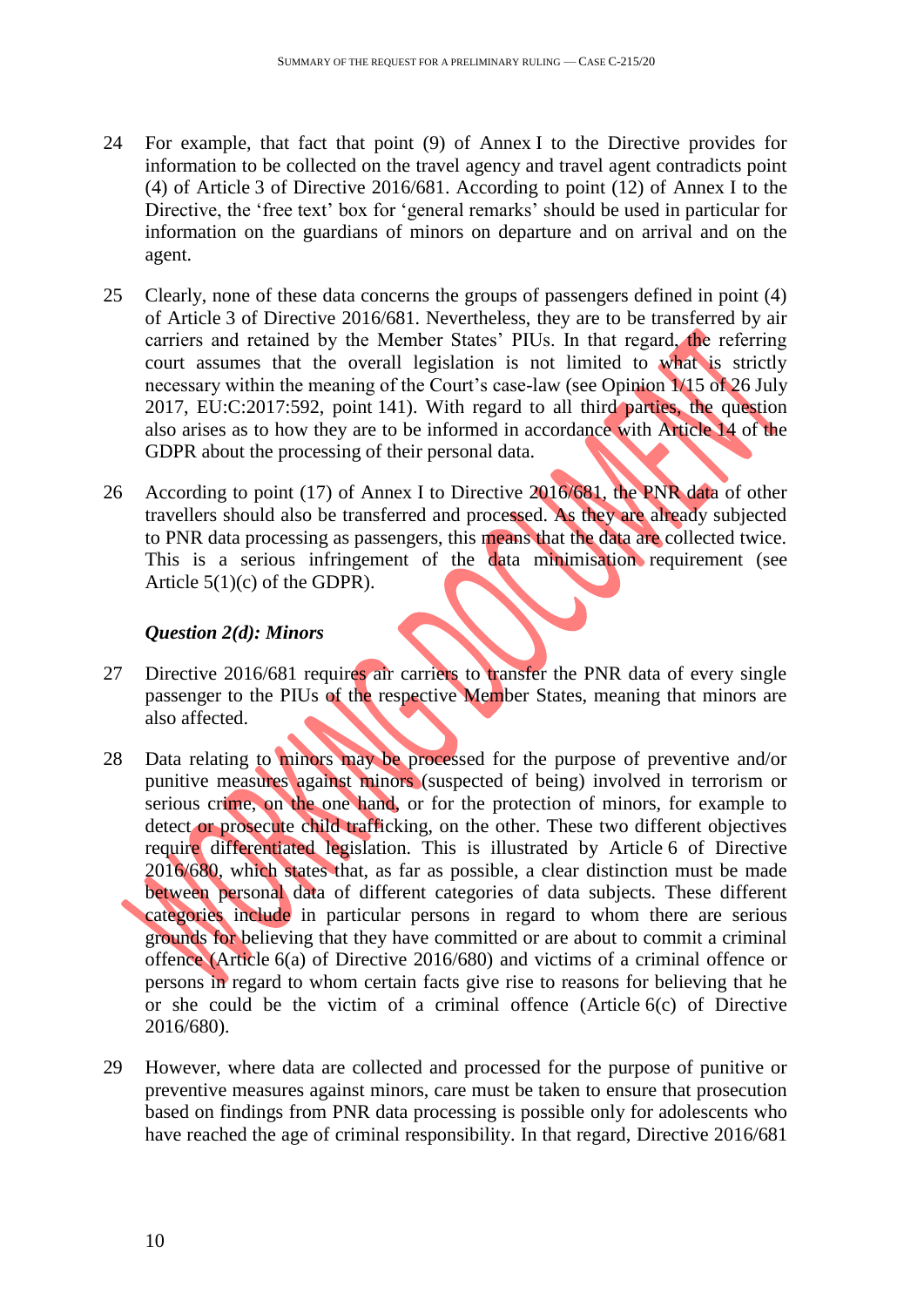- 24 For example, that fact that point (9) of Annex I to the Directive provides for information to be collected on the travel agency and travel agent contradicts point (4) of Article 3 of Directive 2016/681. According to point (12) of Annex I to the Directive, the 'free text' box for 'general remarks' should be used in particular for information on the guardians of minors on departure and on arrival and on the agent.
- 25 Clearly, none of these data concerns the groups of passengers defined in point (4) of Article 3 of Directive 2016/681. Nevertheless, they are to be transferred by air carriers and retained by the Member States' PIUs. In that regard, the referring court assumes that the overall legislation is not limited to what is strictly necessary within the meaning of the Court's case-law (see Opinion 1/15 of 26 July 2017, EU:C:2017:592, point 141). With regard to all third parties, the question also arises as to how they are to be informed in accordance with Article 14 of the GDPR about the processing of their personal data.
- 26 According to point (17) of Annex I to Directive 2016/681, the PNR data of other travellers should also be transferred and processed. As they are already subjected to PNR data processing as passengers, this means that the data are collected twice. This is a serious infringement of the data minimisation requirement (see Article 5(1)(c) of the GDPR).

### *Question 2(d): Minors*

- 27 Directive 2016/681 requires air carriers to transfer the PNR data of every single passenger to the PIUs of the respective Member States, meaning that minors are also affected.
- 28 Data relating to minors may be processed for the purpose of preventive and/or punitive measures against minors (suspected of being) involved in terrorism or serious crime, on the one hand, or for the protection of minors, for example to detect or prosecute child trafficking, on the other. These two different objectives require differentiated legislation. This is illustrated by Article 6 of Directive 2016/680, which states that, as far as possible, a clear distinction must be made between personal data of different categories of data subjects. These different categories include in particular persons in regard to whom there are serious grounds for believing that they have committed or are about to commit a criminal offence (Article 6(a) of Directive 2016/680) and victims of a criminal offence or persons in regard to whom certain facts give rise to reasons for believing that he or she could be the victim of a criminal offence (Article 6(c) of Directive 2016/680).
- 29 However, where data are collected and processed for the purpose of punitive or preventive measures against minors, care must be taken to ensure that prosecution based on findings from PNR data processing is possible only for adolescents who have reached the age of criminal responsibility. In that regard, Directive 2016/681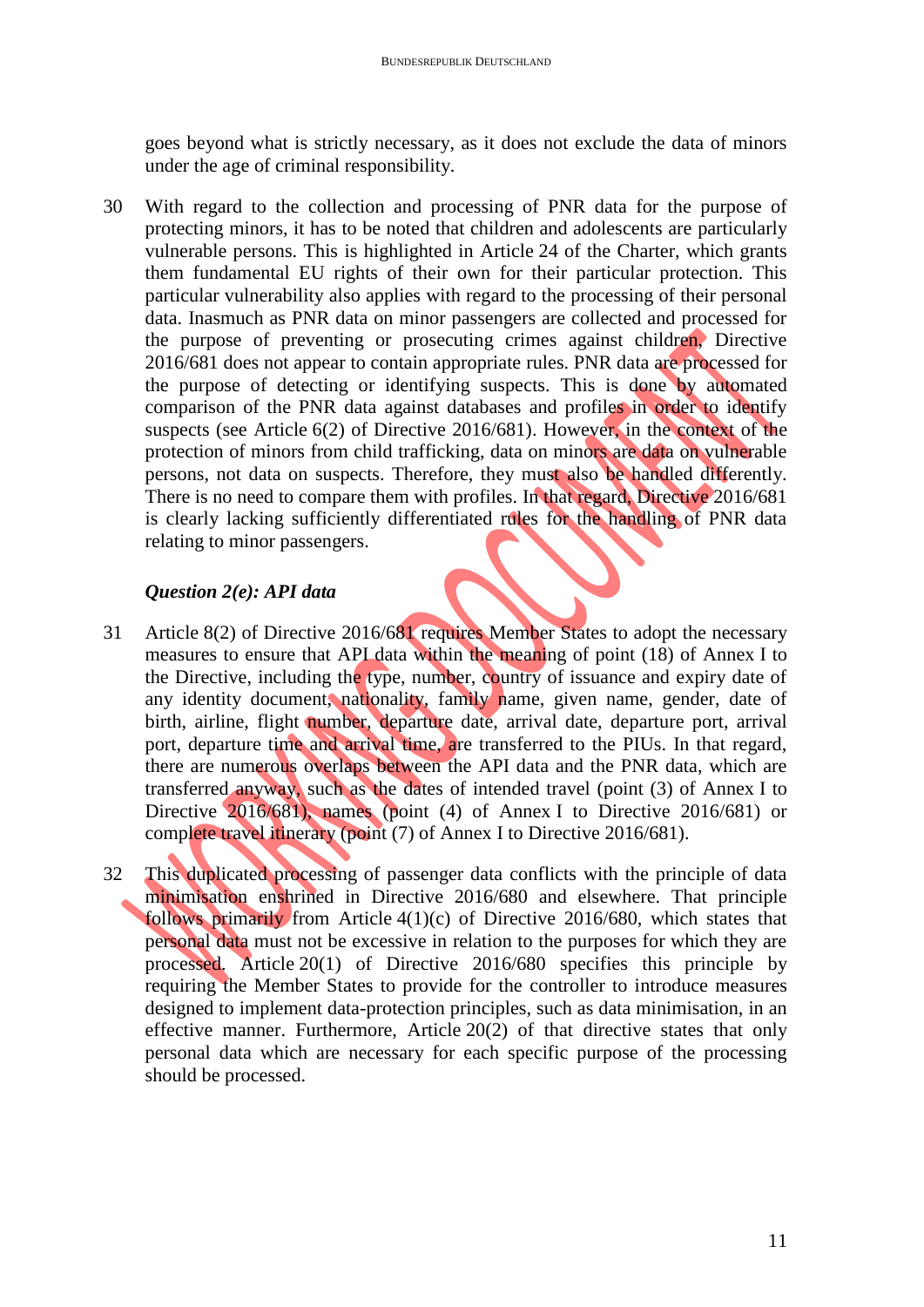goes beyond what is strictly necessary, as it does not exclude the data of minors under the age of criminal responsibility.

30 With regard to the collection and processing of PNR data for the purpose of protecting minors, it has to be noted that children and adolescents are particularly vulnerable persons. This is highlighted in Article 24 of the Charter, which grants them fundamental EU rights of their own for their particular protection. This particular vulnerability also applies with regard to the processing of their personal data. Inasmuch as PNR data on minor passengers are collected and processed for the purpose of preventing or prosecuting crimes against children, Directive 2016/681 does not appear to contain appropriate rules. PNR data are processed for the purpose of detecting or identifying suspects. This is done by automated comparison of the PNR data against databases and profiles in order to identify suspects (see Article 6(2) of Directive 2016/681). However, in the context of the protection of minors from child trafficking, data on minors are data on vulnerable persons, not data on suspects. Therefore, they must also be handled differently. There is no need to compare them with profiles. In that regard, Directive 2016/681 is clearly lacking sufficiently differentiated rules for the handling of PNR data relating to minor passengers.

## *Question 2(e): API data*

- 31 Article 8(2) of Directive 2016/681 requires Member States to adopt the necessary measures to ensure that API data within the meaning of point (18) of Annex I to the Directive, including the type, number, country of issuance and expiry date of any identity document, nationality, family name, given name, gender, date of birth, airline, flight number, departure date, arrival date, departure port, arrival port, departure time and arrival time, are transferred to the PIUs. In that regard, there are numerous overlaps between the API data and the PNR data, which are transferred anyway, such as the dates of intended travel (point (3) of Annex I to Directive 2016/681), names (point (4) of Annex I to Directive 2016/681) or complete travel itinerary (point (7) of Annex I to Directive 2016/681).
- 32 This duplicated processing of passenger data conflicts with the principle of data minimisation enshrined in Directive 2016/680 and elsewhere. That principle follows primarily from Article 4(1)(c) of Directive 2016/680, which states that personal data must not be excessive in relation to the purposes for which they are processed. Article 20(1) of Directive 2016/680 specifies this principle by requiring the Member States to provide for the controller to introduce measures designed to implement data-protection principles, such as data minimisation, in an effective manner. Furthermore, Article 20(2) of that directive states that only personal data which are necessary for each specific purpose of the processing should be processed.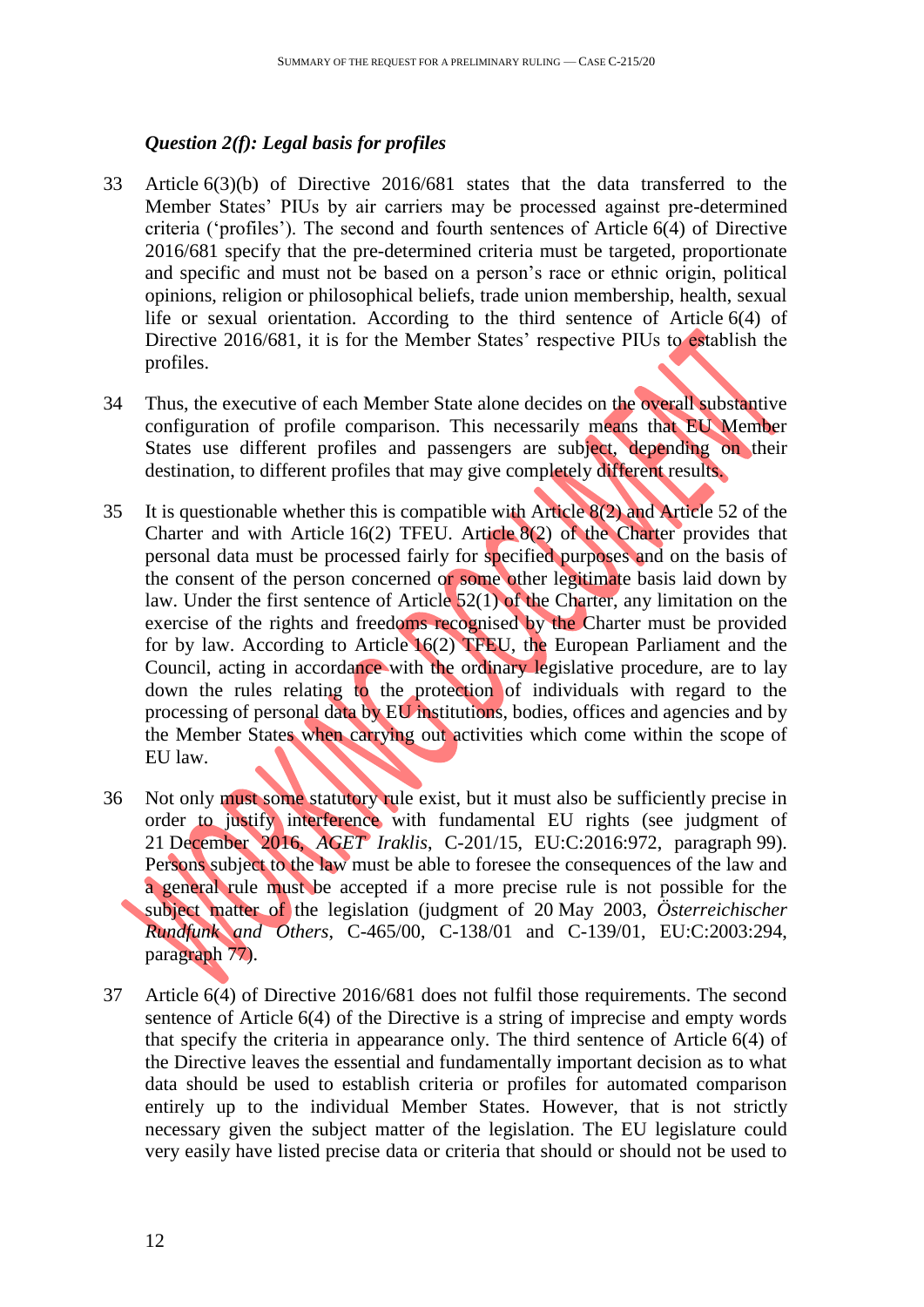## *Question 2(f): Legal basis for profiles*

- 33 Article 6(3)(b) of Directive 2016/681 states that the data transferred to the Member States' PIUs by air carriers may be processed against pre-determined criteria ('profiles'). The second and fourth sentences of Article 6(4) of Directive 2016/681 specify that the pre-determined criteria must be targeted, proportionate and specific and must not be based on a person's race or ethnic origin, political opinions, religion or philosophical beliefs, trade union membership, health, sexual life or sexual orientation. According to the third sentence of Article 6(4) of Directive 2016/681, it is for the Member States' respective PIUs to establish the profiles.
- 34 Thus, the executive of each Member State alone decides on the overall substantive configuration of profile comparison. This necessarily means that EU Member States use different profiles and passengers are subject, depending on their destination, to different profiles that may give completely different results.
- 35 It is questionable whether this is compatible with Article 8(2) and Article 52 of the Charter and with Article 16(2) TFEU. Article 8(2) of the Charter provides that personal data must be processed fairly for specified purposes and on the basis of the consent of the person concerned or some other legitimate basis laid down by law. Under the first sentence of Article 52(1) of the Charter, any limitation on the exercise of the rights and freedoms recognised by the Charter must be provided for by law. According to Article 16(2) TFEU, the European Parliament and the Council, acting in accordance with the ordinary legislative procedure, are to lay down the rules relating to the protection of individuals with regard to the processing of personal data by EU institutions, bodies, offices and agencies and by the Member States when carrying out activities which come within the scope of EU law.
- 36 Not only must some statutory rule exist, but it must also be sufficiently precise in order to justify interference with fundamental EU rights (see judgment of 21 December 2016, *AGET Iraklis*, C-201/15, EU:C:2016:972, paragraph 99). Persons subject to the law must be able to foresee the consequences of the law and a general rule must be accepted if a more precise rule is not possible for the subject matter of the legislation (judgment of 20 May 2003, *Österreichischer Rundfunk and Others*, C-465/00, C-138/01 and C-139/01, EU:C:2003:294, paragraph 77).
- 37 Article 6(4) of Directive 2016/681 does not fulfil those requirements. The second sentence of Article 6(4) of the Directive is a string of imprecise and empty words that specify the criteria in appearance only. The third sentence of Article 6(4) of the Directive leaves the essential and fundamentally important decision as to what data should be used to establish criteria or profiles for automated comparison entirely up to the individual Member States. However, that is not strictly necessary given the subject matter of the legislation. The EU legislature could very easily have listed precise data or criteria that should or should not be used to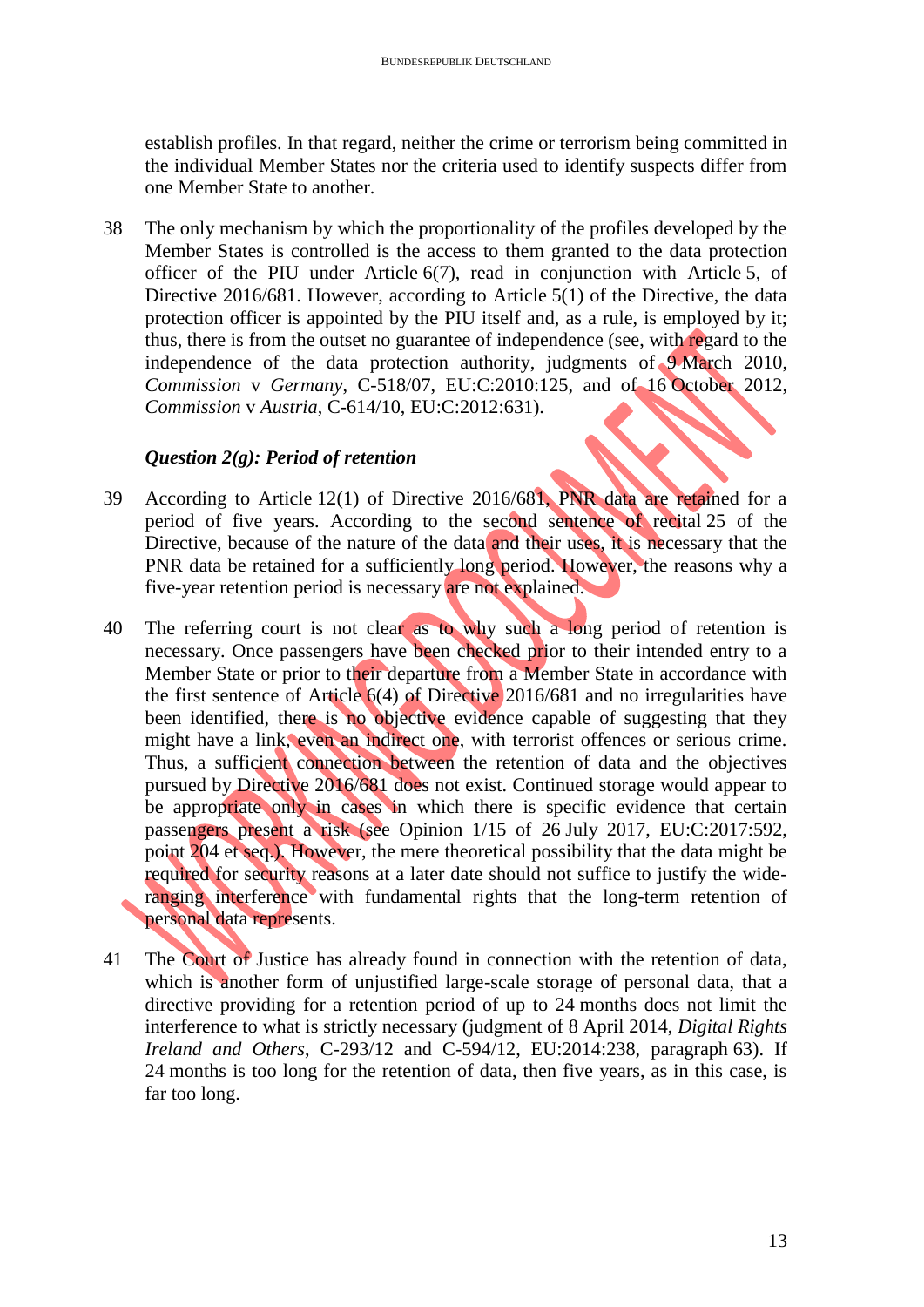establish profiles. In that regard, neither the crime or terrorism being committed in the individual Member States nor the criteria used to identify suspects differ from one Member State to another.

38 The only mechanism by which the proportionality of the profiles developed by the Member States is controlled is the access to them granted to the data protection officer of the PIU under Article 6(7), read in conjunction with Article 5, of Directive 2016/681. However, according to Article 5(1) of the Directive, the data protection officer is appointed by the PIU itself and, as a rule, is employed by it; thus, there is from the outset no guarantee of independence (see, with regard to the independence of the data protection authority, judgments of 9 March 2010, *Commission* v *Germany*, C-518/07, EU:C:2010:125, and of 16 October 2012, *Commission* v *Austria*, C-614/10, EU:C:2012:631).

### *Question 2(g): Period of retention*

- 39 According to Article 12(1) of Directive 2016/681, PNR data are retained for a period of five years. According to the second sentence of recital 25 of the Directive, because of the nature of the data and their uses, it is necessary that the PNR data be retained for a sufficiently long period. However, the reasons why a five-year retention period is necessary are not explained.
- 40 The referring court is not clear as to why such a long period of retention is necessary. Once passengers have been checked prior to their intended entry to a Member State or prior to their departure from a Member State in accordance with the first sentence of Article  $6(4)$  of Directive 2016/681 and no irregularities have been identified, there is no objective evidence capable of suggesting that they might have a link, even an indirect one, with terrorist offences or serious crime. Thus, a sufficient connection between the retention of data and the objectives pursued by Directive 2016/681 does not exist. Continued storage would appear to be appropriate only in cases in which there is specific evidence that certain passengers present a risk (see Opinion 1/15 of 26 July 2017, EU:C:2017:592, point 204 et seq.). However, the mere theoretical possibility that the data might be required for security reasons at a later date should not suffice to justify the wideranging interference with fundamental rights that the long-term retention of personal data represents.
- 41 The Court of Justice has already found in connection with the retention of data, which is another form of unjustified large-scale storage of personal data, that a directive providing for a retention period of up to 24 months does not limit the interference to what is strictly necessary (judgment of 8 April 2014, *Digital Rights Ireland and Others*, C-293/12 and C-594/12, EU:2014:238, paragraph 63). If 24 months is too long for the retention of data, then five years, as in this case, is far too long.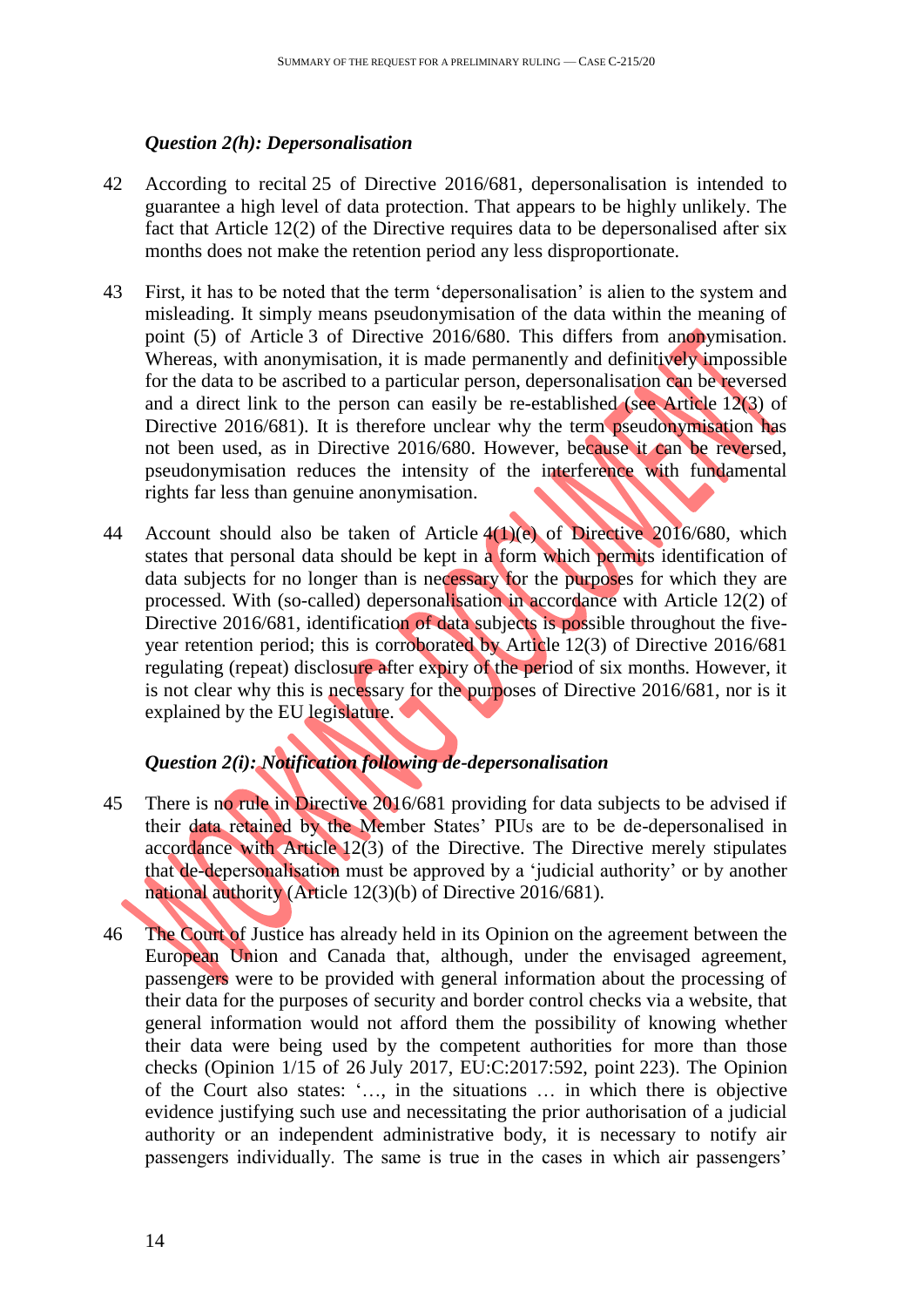#### *Question 2(h): Depersonalisation*

- 42 According to recital 25 of Directive 2016/681, depersonalisation is intended to guarantee a high level of data protection. That appears to be highly unlikely. The fact that Article 12(2) of the Directive requires data to be depersonalised after six months does not make the retention period any less disproportionate.
- 43 First, it has to be noted that the term 'depersonalisation' is alien to the system and misleading. It simply means pseudonymisation of the data within the meaning of point (5) of Article 3 of Directive 2016/680. This differs from anonymisation. Whereas, with anonymisation, it is made permanently and definitively impossible for the data to be ascribed to a particular person, depersonalisation can be reversed and a direct link to the person can easily be re-established (see Article 12(3) of Directive 2016/681). It is therefore unclear why the term pseudonymisation has not been used, as in Directive 2016/680. However, because it can be reversed, pseudonymisation reduces the intensity of the interference with fundamental rights far less than genuine anonymisation.
- 44 Account should also be taken of Article 4(1)(e) of Directive 2016/680, which states that personal data should be kept in a form which permits identification of data subjects for no longer than is necessary for the purposes for which they are processed. With (so-called) depersonalisation in accordance with Article 12(2) of Directive 2016/681, identification of data subjects is possible throughout the fiveyear retention period; this is corroborated by Article 12(3) of Directive 2016/681 regulating (repeat) disclosure after expiry of the period of six months. However, it is not clear why this is necessary for the purposes of Directive 2016/681, nor is it explained by the EU legislature.

# *Question 2(i): Notification following de-depersonalisation*

- 45 There is no rule in Directive 2016/681 providing for data subjects to be advised if their data retained by the Member States' PIUs are to be de-depersonalised in accordance with Article 12(3) of the Directive. The Directive merely stipulates that de-depersonalisation must be approved by a 'judicial authority' or by another national authority (Article 12(3)(b) of Directive 2016/681).
- 46 The Court of Justice has already held in its Opinion on the agreement between the European Union and Canada that, although, under the envisaged agreement, passengers were to be provided with general information about the processing of their data for the purposes of security and border control checks via a website, that general information would not afford them the possibility of knowing whether their data were being used by the competent authorities for more than those checks (Opinion 1/15 of 26 July 2017, EU:C:2017:592, point 223). The Opinion of the Court also states: '…, in the situations … in which there is objective evidence justifying such use and necessitating the prior authorisation of a judicial authority or an independent administrative body, it is necessary to notify air passengers individually. The same is true in the cases in which air passengers'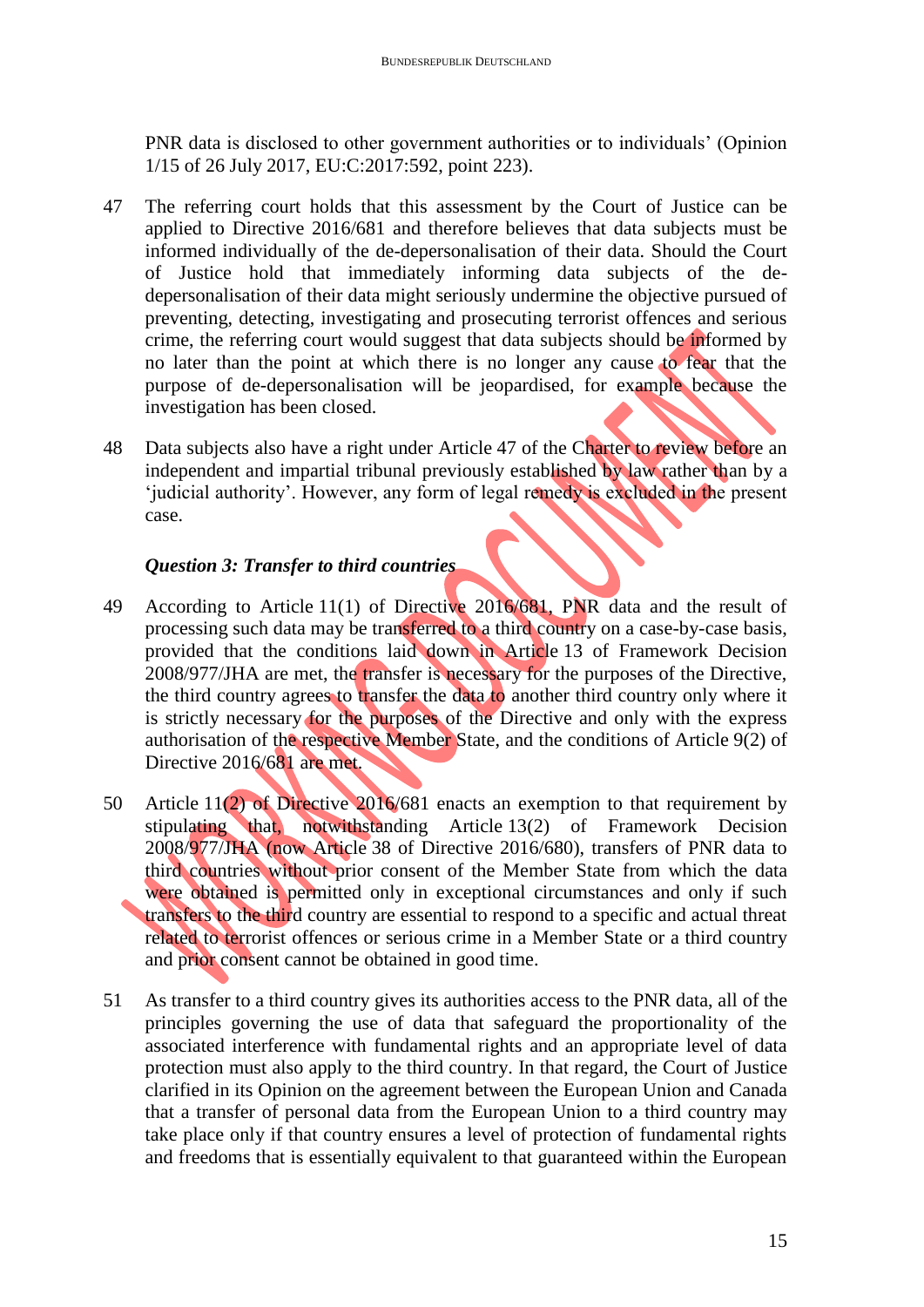PNR data is disclosed to other government authorities or to individuals' (Opinion 1/15 of 26 July 2017, EU:C:2017:592, point 223).

- 47 The referring court holds that this assessment by the Court of Justice can be applied to Directive 2016/681 and therefore believes that data subjects must be informed individually of the de-depersonalisation of their data. Should the Court of Justice hold that immediately informing data subjects of the dedepersonalisation of their data might seriously undermine the objective pursued of preventing, detecting, investigating and prosecuting terrorist offences and serious crime, the referring court would suggest that data subjects should be informed by no later than the point at which there is no longer any cause to fear that the purpose of de-depersonalisation will be jeopardised, for example because the investigation has been closed.
- 48 Data subjects also have a right under Article 47 of the Charter to review before an independent and impartial tribunal previously established by law rather than by a 'judicial authority'. However, any form of legal remedy is excluded in the present case.

### *Question 3: Transfer to third countries*

- 49 According to Article 11(1) of Directive 2016/681, PNR data and the result of processing such data may be transferred to a third country on a case-by-case basis, provided that the conditions laid down in Article 13 of Framework Decision 2008/977/JHA are met, the transfer is necessary for the purposes of the Directive, the third country agrees to transfer the data to another third country only where it is strictly necessary for the purposes of the Directive and only with the express authorisation of the respective Member State, and the conditions of Article 9(2) of Directive 2016/681 are met.
- 50 Article 11(2) of Directive 2016/681 enacts an exemption to that requirement by stipulating that, notwithstanding Article 13(2) of Framework Decision 2008/977/JHA (now Article 38 of Directive 2016/680), transfers of PNR data to third countries without prior consent of the Member State from which the data were obtained is permitted only in exceptional circumstances and only if such transfers to the third country are essential to respond to a specific and actual threat related to terrorist offences or serious crime in a Member State or a third country and prior consent cannot be obtained in good time.
- 51 As transfer to a third country gives its authorities access to the PNR data, all of the principles governing the use of data that safeguard the proportionality of the associated interference with fundamental rights and an appropriate level of data protection must also apply to the third country. In that regard, the Court of Justice clarified in its Opinion on the agreement between the European Union and Canada that a transfer of personal data from the European Union to a third country may take place only if that country ensures a level of protection of fundamental rights and freedoms that is essentially equivalent to that guaranteed within the European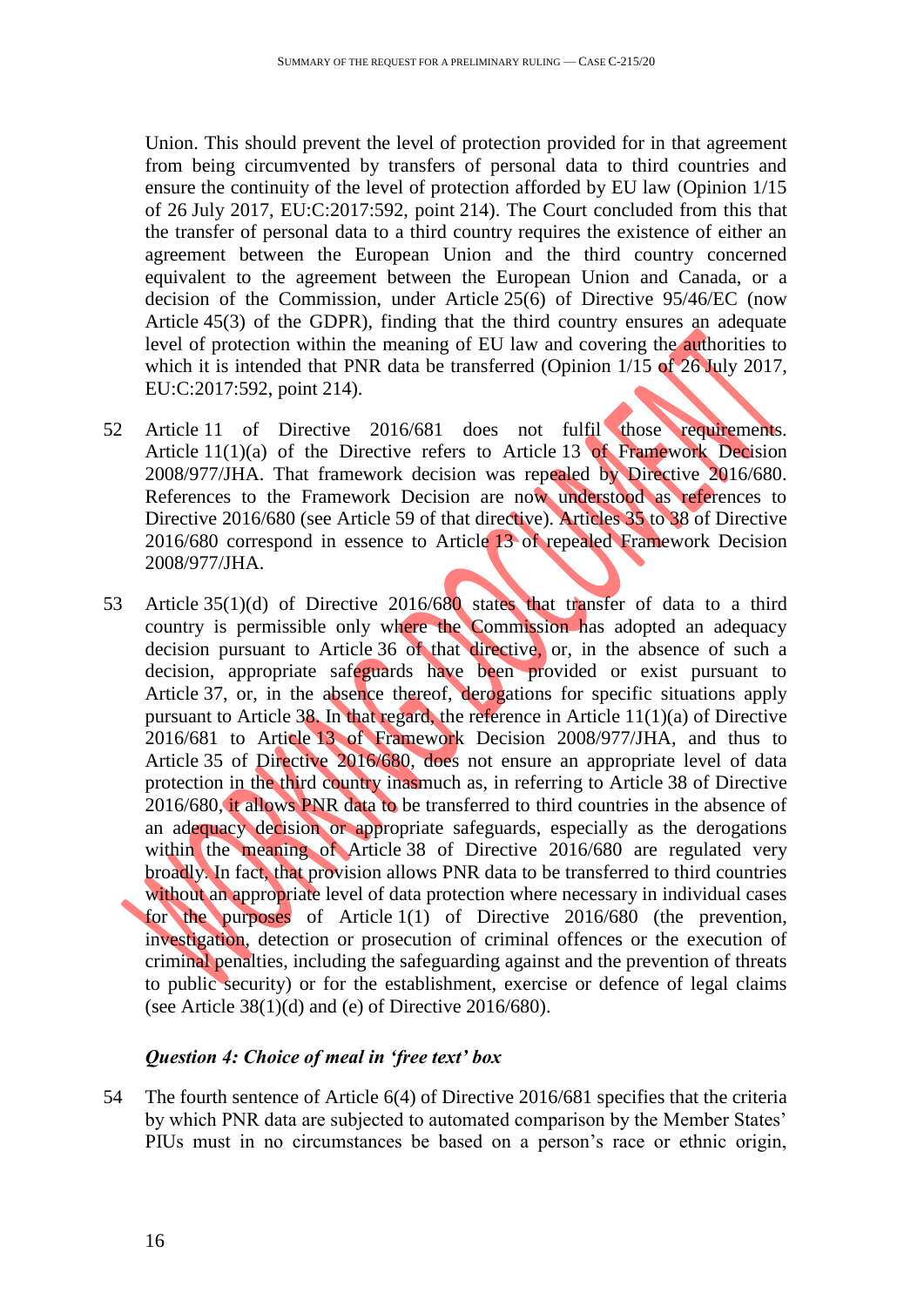Union. This should prevent the level of protection provided for in that agreement from being circumvented by transfers of personal data to third countries and ensure the continuity of the level of protection afforded by EU law (Opinion 1/15 of 26 July 2017, EU:C:2017:592, point 214). The Court concluded from this that the transfer of personal data to a third country requires the existence of either an agreement between the European Union and the third country concerned equivalent to the agreement between the European Union and Canada, or a decision of the Commission, under Article 25(6) of Directive 95/46/EC (now Article 45(3) of the GDPR), finding that the third country ensures an adequate level of protection within the meaning of EU law and covering the authorities to which it is intended that PNR data be transferred (Opinion 1/15 of 26 July 2017, EU:C:2017:592, point 214).

- 52 Article 11 of Directive 2016/681 does not fulfil those requirements. Article  $11(1)(a)$  of the Directive refers to Article 13 of Framework Decision 2008/977/JHA. That framework decision was repealed by Directive 2016/680. References to the Framework Decision are now understood as references to Directive 2016/680 (see Article 59 of that directive). Articles 35 to 38 of Directive 2016/680 correspond in essence to Article 13 of repealed Framework Decision 2008/977/JHA.
- 53 Article 35(1)(d) of Directive 2016/680 states that transfer of data to a third country is permissible only where the Commission has adopted an adequacy decision pursuant to Article 36 of that directive, or, in the absence of such a decision, appropriate safeguards have been provided or exist pursuant to Article 37, or, in the absence thereof, derogations for specific situations apply pursuant to Article 38. In that regard, the reference in Article 11(1)(a) of Directive 2016/681 to Article 13 of Framework Decision 2008/977/JHA, and thus to Article 35 of Directive 2016/680, does not ensure an appropriate level of data protection in the third country inasmuch as, in referring to Article 38 of Directive 2016/680, it allows PNR data to be transferred to third countries in the absence of an adequacy decision or appropriate safeguards, especially as the derogations within the meaning of Article 38 of Directive 2016/680 are regulated very broadly. In fact, that provision allows PNR data to be transferred to third countries without an appropriate level of data protection where necessary in individual cases for the purposes of Article 1(1) of Directive 2016/680 (the prevention, investigation, detection or prosecution of criminal offences or the execution of criminal penalties, including the safeguarding against and the prevention of threats to public security) or for the establishment, exercise or defence of legal claims (see Article  $38(1)(d)$  and (e) of Directive 2016/680).

## *Question 4: Choice of meal in 'free text' box*

54 The fourth sentence of Article 6(4) of Directive 2016/681 specifies that the criteria by which PNR data are subjected to automated comparison by the Member States' PIUs must in no circumstances be based on a person's race or ethnic origin,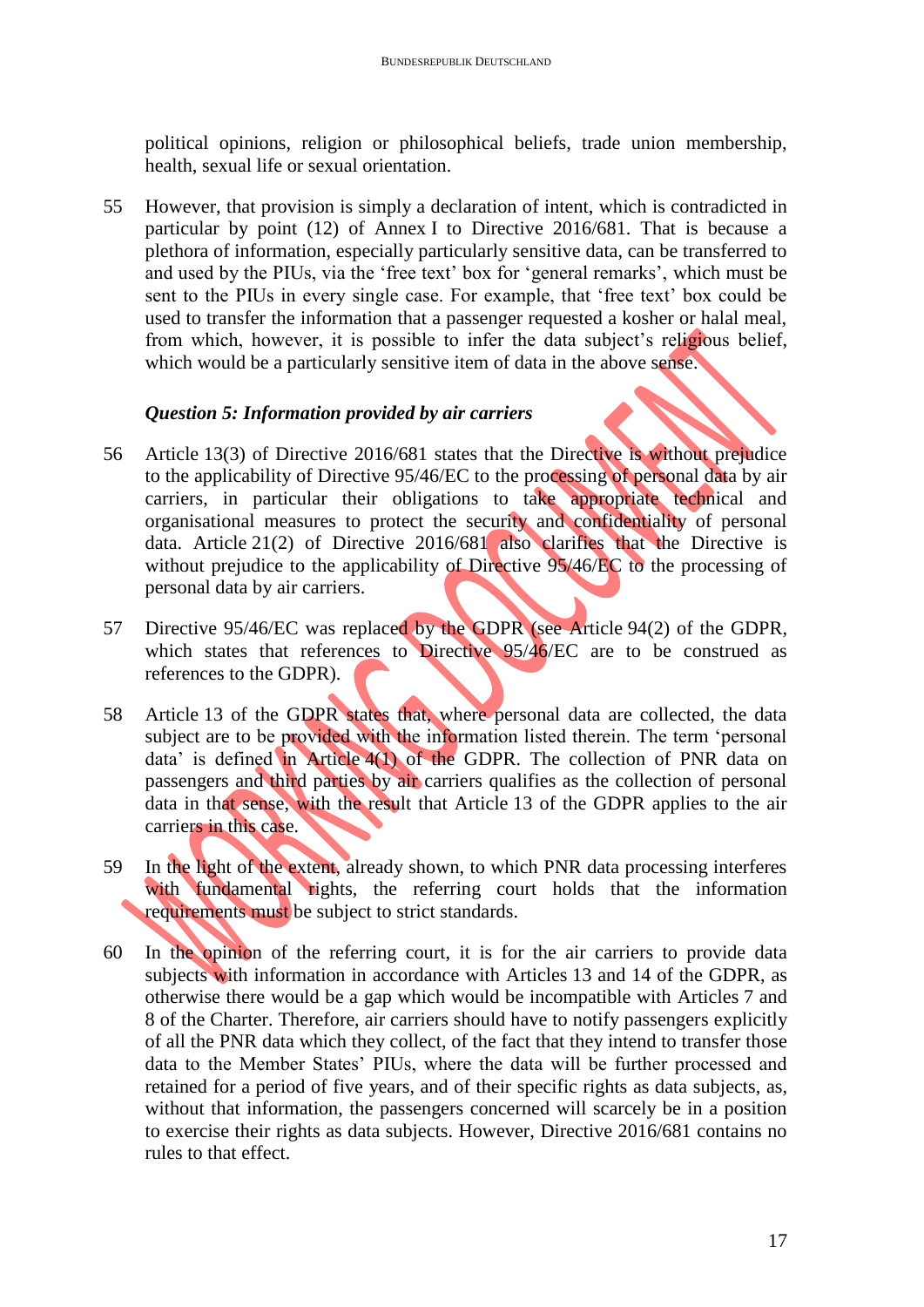political opinions, religion or philosophical beliefs, trade union membership, health, sexual life or sexual orientation.

55 However, that provision is simply a declaration of intent, which is contradicted in particular by point (12) of Annex I to Directive 2016/681. That is because a plethora of information, especially particularly sensitive data, can be transferred to and used by the PIUs, via the 'free text' box for 'general remarks', which must be sent to the PIUs in every single case. For example, that 'free text' box could be used to transfer the information that a passenger requested a kosher or halal meal, from which, however, it is possible to infer the data subject's religious belief, which would be a particularly sensitive item of data in the above sense.

### *Question 5: Information provided by air carriers*

- 56 Article 13(3) of Directive 2016/681 states that the Directive is without prejudice to the applicability of Directive 95/46/EC to the processing of personal data by air carriers, in particular their obligations to take appropriate technical and organisational measures to protect the security and confidentiality of personal data. Article 21(2) of Directive 2016/681 also clarifies that the Directive is without prejudice to the applicability of Directive 95/46/EC to the processing of personal data by air carriers.
- 57 Directive 95/46/EC was replaced by the GDPR (see Article 94(2) of the GDPR, which states that references to Directive 95/46/EC are to be construed as references to the GDPR).
- 58 Article 13 of the GDPR states that, where personal data are collected, the data subject are to be provided with the information listed therein. The term 'personal data' is defined in Article 4(1) of the GDPR. The collection of PNR data on passengers and third parties by air carriers qualifies as the collection of personal data in that sense, with the result that Article 13 of the GDPR applies to the air carriers in this case.
- 59 In the light of the extent, already shown, to which PNR data processing interferes with fundamental rights, the referring court holds that the information requirements must be subject to strict standards.
- 60 In the opinion of the referring court, it is for the air carriers to provide data subjects with information in accordance with Articles 13 and 14 of the GDPR, as otherwise there would be a gap which would be incompatible with Articles 7 and 8 of the Charter. Therefore, air carriers should have to notify passengers explicitly of all the PNR data which they collect, of the fact that they intend to transfer those data to the Member States' PIUs, where the data will be further processed and retained for a period of five years, and of their specific rights as data subjects, as, without that information, the passengers concerned will scarcely be in a position to exercise their rights as data subjects. However, Directive 2016/681 contains no rules to that effect.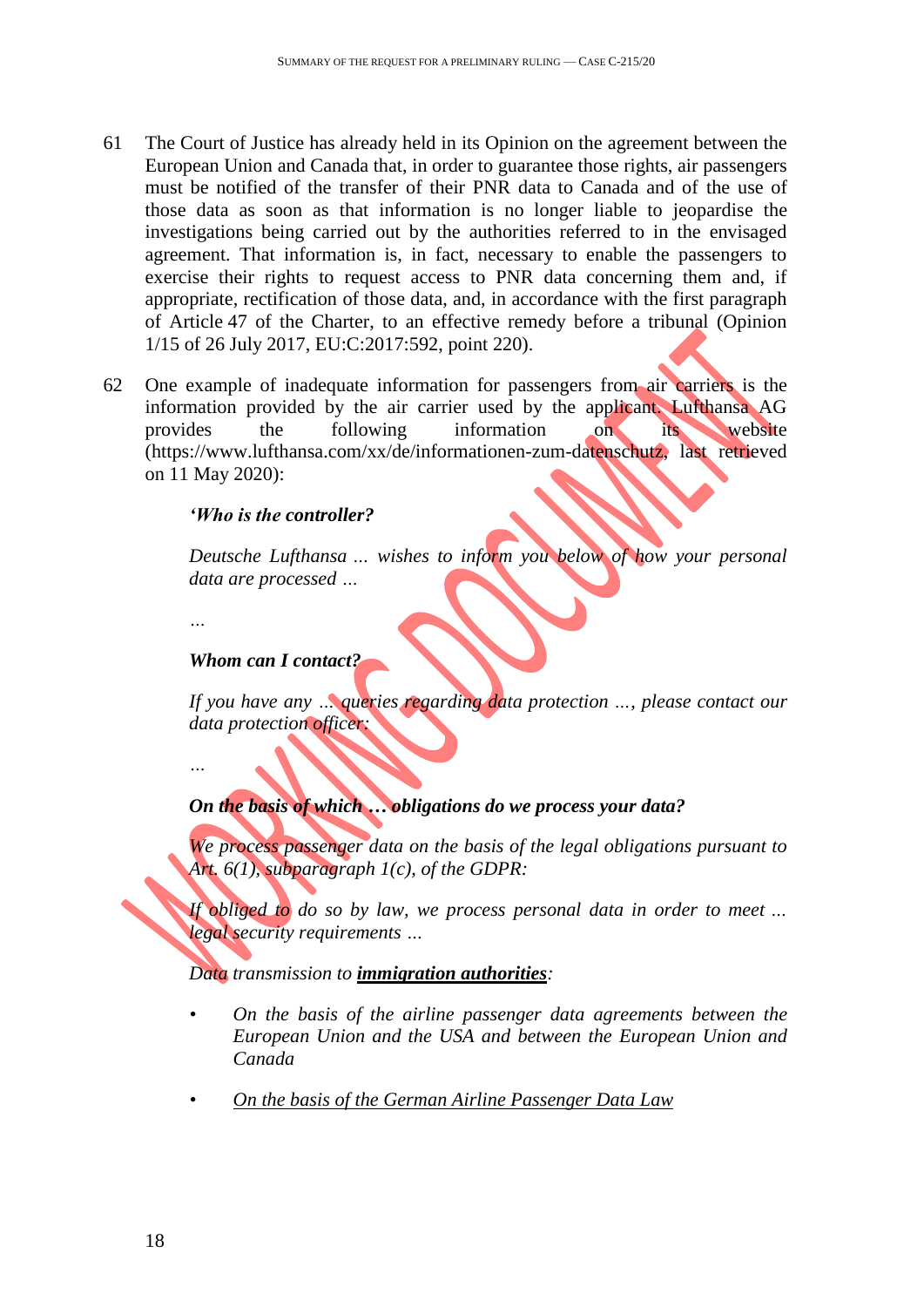- 61 The Court of Justice has already held in its Opinion on the agreement between the European Union and Canada that, in order to guarantee those rights, air passengers must be notified of the transfer of their PNR data to Canada and of the use of those data as soon as that information is no longer liable to jeopardise the investigations being carried out by the authorities referred to in the envisaged agreement. That information is, in fact, necessary to enable the passengers to exercise their rights to request access to PNR data concerning them and, if appropriate, rectification of those data, and, in accordance with the first paragraph of Article 47 of the Charter, to an effective remedy before a tribunal (Opinion 1/15 of 26 July 2017, EU:C:2017:592, point 220).
- 62 One example of inadequate information for passengers from air carriers is the information provided by the air carrier used by the applicant. Lufthansa AG provides the following information on its website (https://www.lufthansa.com/xx/de/informationen-zum-datenschutz, last retrieved on 11 May 2020):

#### *'Who is the controller?*

*Deutsche Lufthansa … wishes to inform you below of how your personal data are processed …*

*…*

#### *Whom can I contact?*

*If you have any … queries regarding data protection …, please contact our data protection officer:*

*…*

#### *On the basis of which … obligations do we process your data?*

*We process passenger data on the basis of the legal obligations pursuant to Art. 6(1), subparagraph 1(c), of the GDPR:*

*If obliged to do so by law, we process personal data in order to meet … legal security requirements …*

#### *Data transmission to immigration authorities:*

- *• On the basis of the airline passenger data agreements between the European Union and the USA and between the European Union and Canada*
- *• On the basis of the German Airline Passenger Data Law*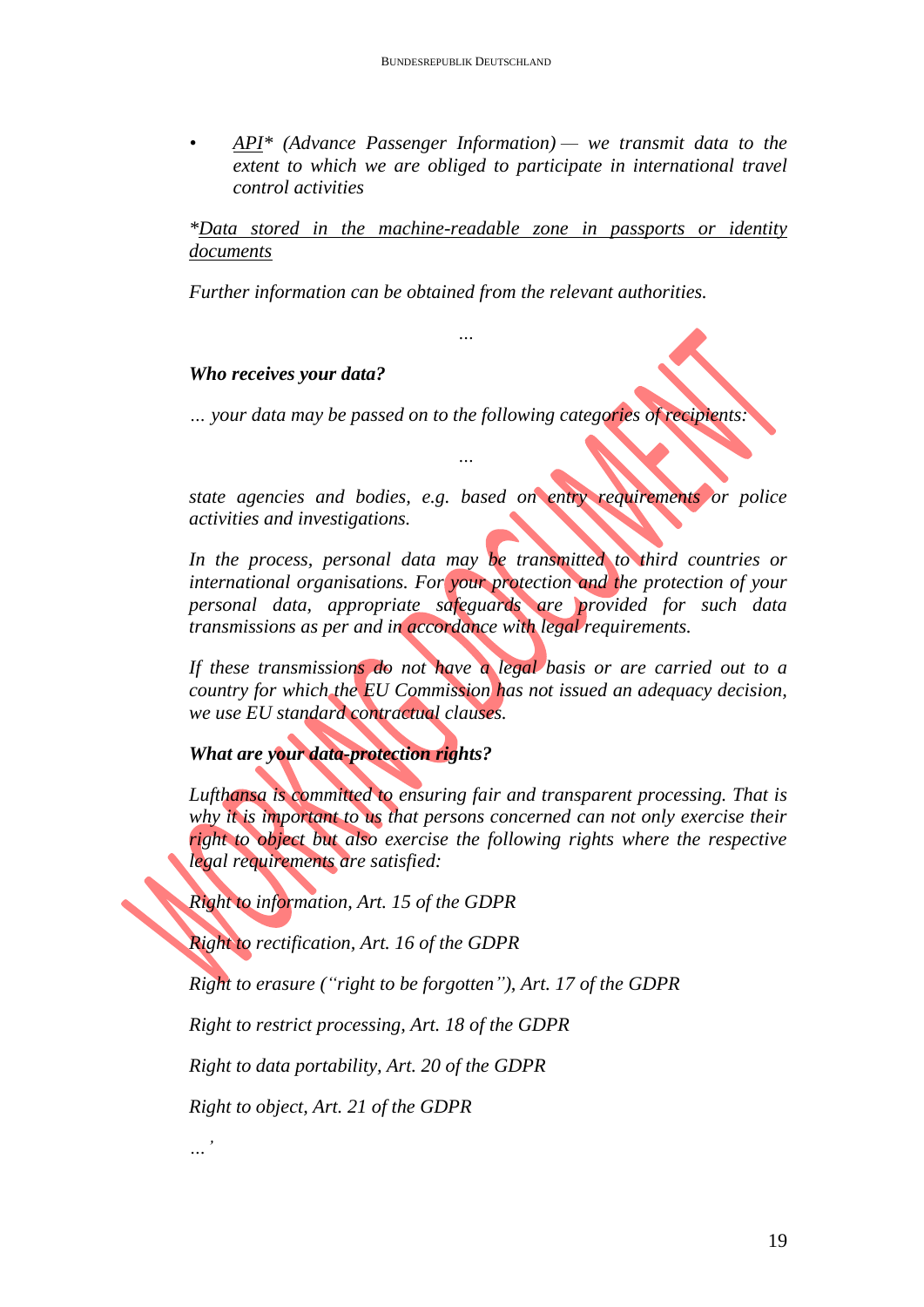*• API\* (Advance Passenger Information) — we transmit data to the extent to which we are obliged to participate in international travel control activities*

*\*Data stored in the machine-readable zone in passports or identity documents*

*Further information can be obtained from the relevant authorities.*

*…*

### *Who receives your data?*

*… your data may be passed on to the following categories of recipients:*

*…*

*state agencies and bodies, e.g. based on entry requirements or police activities and investigations.*

*In the process, personal data may be transmitted to third countries or international organisations. For your protection and the protection of your personal data, appropriate safeguards are provided for such data transmissions as per and in accordance with legal requirements.*

*If these transmissions do not have a legal basis or are carried out to a country for which the EU Commission has not issued an adequacy decision, we use EU standard contractual clauses.*

## *What are your data-protection rights?*

*Lufthansa is committed to ensuring fair and transparent processing. That is why it is important to us that persons concerned can not only exercise their right to object but also exercise the following rights where the respective legal requirements are satisfied:*

*Right to information, Art. 15 of the GDPR*

*Right to rectification, Art. 16 of the GDPR*

*Right to erasure ("right to be forgotten"), Art. 17 of the GDPR*

*Right to restrict processing, Art. 18 of the GDPR*

*Right to data portability, Art. 20 of the GDPR*

*Right to object, Art. 21 of the GDPR*

*…'*